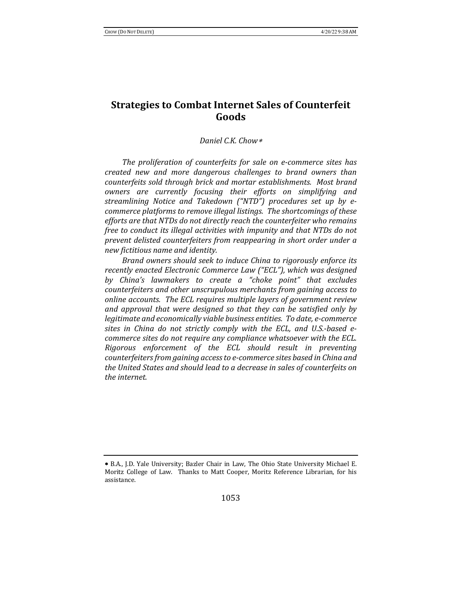# **Strategies to Combat Internet Sales of Counterfeit Goods**

## *Daniel C.K. Chow*\*

The proliferation of counterfeits for sale on e-commerce sites has *created new and more dangerous challenges to brand owners than*  counterfeits sold through brick and mortar establishments. Most brand *owners are currently focusing their efforts on simplifying and*  streamlining Notice and Takedown ("NTD") procedures set up by e*commerce platforms to remove illegal listings. The shortcomings of these* efforts are that NTDs do not directly reach the counterfeiter who remains *free to conduct its illegal activities with impunity and that NTDs do not* prevent delisted counterfeiters from reappearing in short order under a *new fictitious name and identity.*

*Brand owners should seek to induce China to rigorously enforce its* recently enacted Electronic Commerce Law ("ECL"), which was designed by China's lawmakers to create a "choke point" that excludes counterfeiters and other unscrupulous merchants from gaining access to *online accounts. The ECL requires multiple layers of government review* and approval that were designed so that they can be satisfied only by legitimate and economically viable business entities. To date, e-commerce sites in China do not strictly comply with the ECL, and U.S.-based e*commerce sites do not require any compliance whatsoever with the ECL. Rigorous enforcement of the ECL should result in preventing counterfeiters from gaining access to e-commerce sites based in China and the United States and should lead to a decrease in sales of counterfeits on the internet.*

<sup>\*</sup> B.A., J.D. Yale University; Bazler Chair in Law, The Ohio State University Michael E. Moritz College of Law. Thanks to Matt Cooper, Moritz Reference Librarian, for his assistance.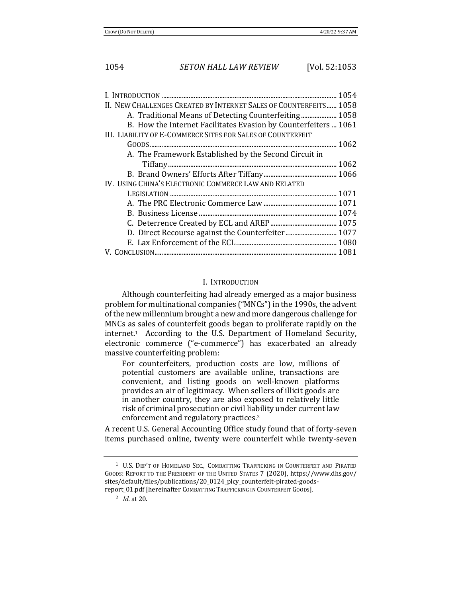| II. NEW CHALLENGES CREATED BY INTERNET SALES OF COUNTERFEITS 1058 |
|-------------------------------------------------------------------|
| A. Traditional Means of Detecting Counterfeiting 1058             |
| B. How the Internet Facilitates Evasion by Counterfeiters  1061   |
| III. LIABILITY OF E-COMMERCE SITES FOR SALES OF COUNTERFEIT       |
|                                                                   |
| A. The Framework Established by the Second Circuit in             |
|                                                                   |
|                                                                   |
| IV. USING CHINA'S ELECTRONIC COMMERCE LAW AND RELATED             |
|                                                                   |
|                                                                   |
|                                                                   |
|                                                                   |
|                                                                   |
|                                                                   |
|                                                                   |

## I. INTRODUCTION

Although counterfeiting had already emerged as a major business problem for multinational companies ("MNCs") in the 1990s, the advent of the new millennium brought a new and more dangerous challenge for MNCs as sales of counterfeit goods began to proliferate rapidly on the  $internet<sup>1</sup>$  According to the U.S. Department of Homeland Security, electronic commerce ("e-commerce") has exacerbated an already massive counterfeiting problem:

For counterfeiters, production costs are low, millions of potential customers are available online, transactions are convenient, and listing goods on well-known platforms provides an air of legitimacy. When sellers of illicit goods are in another country, they are also exposed to relatively little risk of criminal prosecution or civil liability under current law enforcement and regulatory practices.<sup>2</sup>

A recent U.S. General Accounting Office study found that of forty-seven items purchased online, twenty were counterfeit while twenty-seven

<sup>&</sup>lt;sup>1</sup> U.S. DEP'T OF HOMELAND SEC., COMBATTING TRAFFICKING IN COUNTERFEIT AND PIRATED GOODS: REPORT TO THE PRESIDENT OF THE UNITED STATES 7 (2020), https://www.dhs.gov/ sites/default/files/publications/20\_0124\_plcy\_counterfeit-pirated-goodsreport\_01.pdf [hereinafter COMBATTING TRAFFICKING IN COUNTERFEIT GOODS].

 $^{2}$  *Id.* at 20.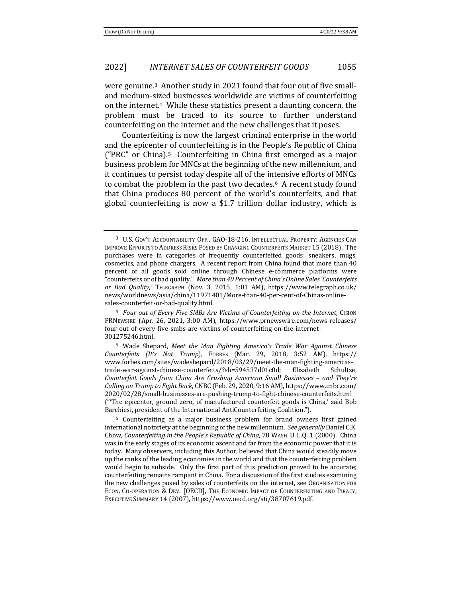were genuine.<sup>3</sup> Another study in 2021 found that four out of five smalland medium-sized businesses worldwide are victims of counterfeiting on the internet.<sup>4</sup> While these statistics present a daunting concern, the problem must be traced to its source to further understand counterfeiting on the internet and the new challenges that it poses.

Counterfeiting is now the largest criminal enterprise in the world and the epicenter of counterfeiting is in the People's Republic of China ("PRC" or China).<sup>5</sup> Counterfeiting in China first emerged as a major business problem for MNCs at the beginning of the new millennium, and it continues to persist today despite all of the intensive efforts of MNCs to combat the problem in the past two decades.<sup>6</sup> A recent study found that China produces 80 percent of the world's counterfeits, and that global counterfeiting is now a  $$1.7$  trillion dollar industry, which is

<sup>&</sup>lt;sup>3</sup> U.S. GOV'T ACCOUNTABILITY OFF., GAO-18-216, INTELLECTUAL PROPERTY: AGENCIES CAN IMPROVE EFFORTS TO ADDRESS RISKS POSED BY CHANGING COUNTERFEITS MARKET 15 (2018). The purchases were in categories of frequently counterfeited goods: sneakers, mugs, cosmetics, and phone chargers. A recent report from China found that more than 40 percent of all goods sold online through Chinese e-commerce platforms were "counterfeits or of bad quality." More than 40 Percent of China's Online Sales 'Counterfeits *or Bad Quality*,*'* TELEGRAPH (Nov. 3, 2015, 1:01 AM), https://www.telegraph.co.uk/ news/worldnews/asia/china/11971401/More-than-40-per-cent-of-Chinas-onlinesales-counterfeit-or-bad-quality.html.

<sup>&</sup>lt;sup>4</sup> *Four out of Every Five SMBs Are Victims of Counterfeiting on the Internet, CISION* PRNEWSIRE (Apr. 26, 2021, 3:00 AM), https://www.prnewswire.com/news-releases/ four-out-of-every-five-smbs-are-victims-of-counterfeiting-on-the-internet-301275246.html.

<sup>&</sup>lt;sup>5</sup> Wade Shepard, *Meet the Man Fighting America's Trade War Against Chinese Counterfeits (It's Not Trump*), FORBES (Mar. 29, 2018, 3:52 AM), https:// www.forbes.com/sites/wadeshepard/2018/03/29/meet-the-man-fighting-americastrade-war-against-chinese-counterfeits/?sh=594537d01c0d; Elizabeth Schultze, *Counterfeit Goods from China Are Crushing American Small Businesses – and They're*  Calling on Trump to Fight Back, CNBC (Feb. 29, 2020, 9:16 AM), https://www.cnbc.com/ 2020/02/28/small-businesses-are-pushing-trump-to-fight-chinese-counterfeits.html ("The epicenter, ground zero, of manufactured counterfeit goods is China,' said Bob Barchiesi, president of the International AntiCounterfeiting Coalition.").

 $6$  Counterfeiting as a major business problem for brand owners first gained international notoriety at the beginning of the new millennium. See generally Daniel C.K. Chow, *Counterfeiting in the People's Republic of China*, 78 WASH. U. L.Q. 1 (2000). China was in the early stages of its economic ascent and far from the economic power that it is today. Many observers, including this Author, believed that China would steadily move up the ranks of the leading economies in the world and that the counterfeiting problem would begin to subside. Only the first part of this prediction proved to be accurate; counterfeiting remains rampant in China. For a discussion of the first studies examining the new challenges posed by sales of counterfeits on the internet, see ORGANISATION FOR ECON. CO-OPERATION & DEV. [OECD], THE ECONOMIC IMPACT OF COUNTERFEITING AND PIRACY, EXECUTIVE SUMMARY 14 (2007), https://www.oecd.org/sti/38707619.pdf.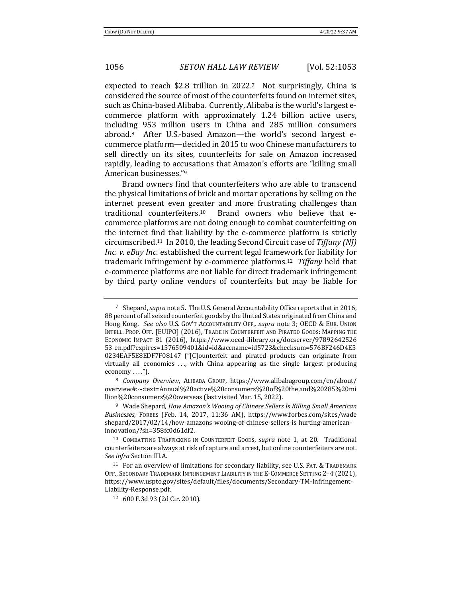expected to reach \$2.8 trillion in  $2022$ .<sup>7</sup> Not surprisingly, China is considered the source of most of the counterfeits found on internet sites, such as China-based Alibaba. Currently, Alibaba is the world's largest ecommerce platform with approximately 1.24 billion active users, including 953 million users in China and 285 million consumers abroad.<sup>8</sup> After U.S.-based Amazon—the world's second largest ecommerce platform—decided in 2015 to woo Chinese manufacturers to sell directly on its sites, counterfeits for sale on Amazon increased rapidly, leading to accusations that Amazon's efforts are "killing small American businesses."<sup>9</sup>

Brand owners find that counterfeiters who are able to transcend the physical limitations of brick and mortar operations by selling on the internet present even greater and more frustrating challenges than traditional counterfeiters.<sup>10</sup> Brand owners who believe that ecommerce platforms are not doing enough to combat counterfeiting on the internet find that liability by the e-commerce platform is strictly circumscribed.<sup>11</sup> In 2010, the leading Second Circuit case of *Tiffany* (NJ) *Inc.* v. eBay *Inc.* established the current legal framework for liability for trademark infringement by e-commerce platforms.<sup>12</sup> *Tiffany* held that e-commerce platforms are not liable for direct trademark infringement by third party online vendors of counterfeits but may be liable for

<sup>&</sup>lt;sup>7</sup> Shepard, *supra* note 5. The U.S. General Accountability Office reports that in 2016, 88 percent of all seized counterfeit goods by the United States originated from China and Hong Kong. See also U.S. Gov't Accountability OFF., supra note 3; OECD & EUR. UNION INTELL. PROP. OFF. [EUIPO] (2016), TRADE IN COUNTERFEIT AND PIRATED GOODS: MAPPING THE ECONOMIC IMPACT 81 (2016), https://www.oecd-ilibrary.org/docserver/97892642526 53-en.pdf?expires=1576509401&id=id&accname=id5723&checksum=576BF246D4E5 0234EAF5E8EDF7F08147 ("[C]ounterfeit and pirated products can originate from virtually all economies  $\ldots$ , with China appearing as the single largest producing  $e \text{conomy} \dots$ .").

<sup>&</sup>lt;sup>8</sup> *Company Overview*, ALIBABA GROUP, https://www.alibabagroup.com/en/about/ overview#:~:text=Annual%20active%20consumers%20of%20the,and%20285%20mi llion%20consumers%20overseas (last visited Mar. 15, 2022).

<sup>&</sup>lt;sup>9</sup> Wade Shepard, *How Amazon's Wooing of Chinese Sellers Is Killing Small American* Businesses, FORBES (Feb. 14, 2017, 11:36 AM), https://www.forbes.com/sites/wade shepard/2017/02/14/how-amazons-wooing-of-chinese-sellers-is-hurting-americaninnovation/?sh=358fc0d61df2.

<sup>&</sup>lt;sup>10</sup> COMBATTING TRAFFICKING IN COUNTERFEIT GOODS, *supra* note 1, at 20. Traditional counterfeiters are always at risk of capture and arrest, but online counterfeiters are not. *See infra* Section III.A.

<sup>&</sup>lt;sup>11</sup> For an overview of limitations for secondary liability, see U.S. PAT. & TRADEMARK OFF., SECONDARY TRADEMARK INFRINGEMENT LIABILITY IN THE E-COMMERCE SETTING 2-4 (2021), https://www.uspto.gov/sites/default/files/documents/Secondary-TM-Infringement-Liability-Response.pdf.

<sup>12</sup> 600 F.3d 93 (2d Cir. 2010).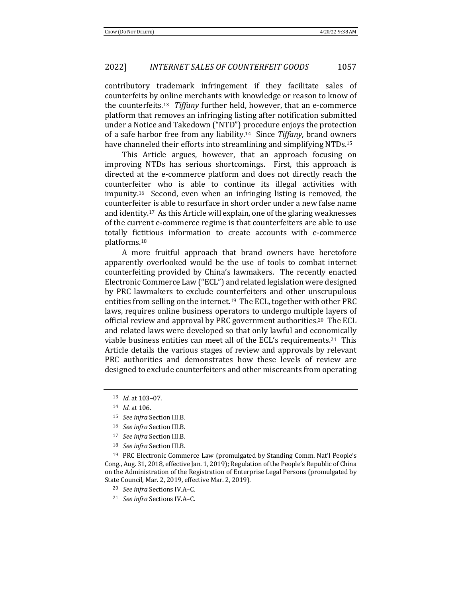contributory trademark infringement if they facilitate sales of counterfeits by online merchants with knowledge or reason to know of the counterfeits.<sup>13</sup> *Tiffany* further held, however, that an e-commerce platform that removes an infringing listing after notification submitted under a Notice and Takedown ("NTD") procedure enjoys the protection of a safe harbor free from any liability.<sup>14</sup> Since *Tiffany*, brand owners have channeled their efforts into streamlining and simplifying NTDs.<sup>15</sup>

This Article argues, however, that an approach focusing on improving NTDs has serious shortcomings. First, this approach is directed at the e-commerce platform and does not directly reach the counterfeiter who is able to continue its illegal activities with impunity.<sup>16</sup> Second, even when an infringing listing is removed, the counterfeiter is able to resurface in short order under a new false name and identity.<sup>17</sup> As this Article will explain, one of the glaring weaknesses of the current e-commerce regime is that counterfeiters are able to use totally fictitious information to create accounts with e-commerce platforms. 18

A more fruitful approach that brand owners have heretofore apparently overlooked would be the use of tools to combat internet counterfeiting provided by China's lawmakers. The recently enacted Electronic Commerce Law ("ECL") and related legislation were designed by PRC lawmakers to exclude counterfeiters and other unscrupulous entities from selling on the internet.<sup>19</sup> The ECL, together with other PRC laws, requires online business operators to undergo multiple layers of official review and approval by PRC government authorities.<sup>20</sup> The ECL and related laws were developed so that only lawful and economically viable business entities can meet all of the ECL's requirements.<sup>21</sup> This Article details the various stages of review and approvals by relevant PRC authorities and demonstrates how these levels of review are designed to exclude counterfeiters and other miscreants from operating

- <sup>16</sup> *See infra* Section III.B.
- <sup>17</sup> *See infra* Section III.B.
- <sup>18</sup> *See infra* Section III.B.

<sup>19</sup> PRC Electronic Commerce Law (promulgated by Standing Comm. Nat'l People's Cong., Aug. 31, 2018, effective Jan. 1, 2019); Regulation of the People's Republic of China on the Administration of the Registration of Enterprise Legal Persons (promulgated by State Council, Mar. 2, 2019, effective Mar. 2, 2019).

- <sup>20</sup> *See infra* Sections IV.A-C.
- <sup>21</sup> *See infra* Sections IV.A-C.

<sup>13</sup> *Id.* at 103-07.

<sup>14</sup> *Id.* at 106.

<sup>&</sup>lt;sup>15</sup> *See infra* Section III.B.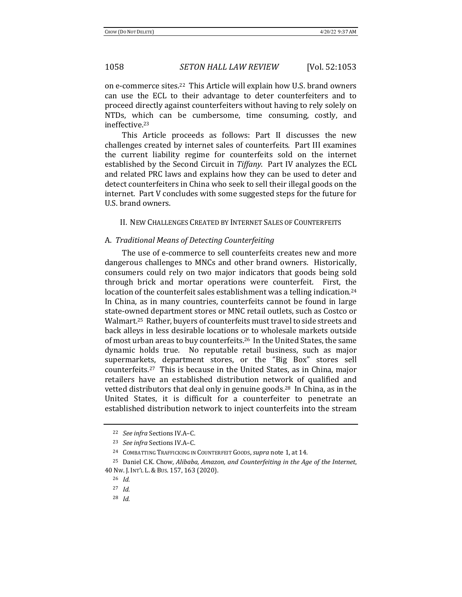on e-commerce sites.<sup>22</sup> This Article will explain how U.S. brand owners can use the ECL to their advantage to deter counterfeiters and to proceed directly against counterfeiters without having to rely solely on NTDs, which can be cumbersome, time consuming, costly, and ineffective.23

This Article proceeds as follows: Part II discusses the new challenges created by internet sales of counterfeits. Part III examines the current liability regime for counterfeits sold on the internet established by the Second Circuit in *Tiffany*. Part IV analyzes the ECL and related PRC laws and explains how they can be used to deter and detect counterfeiters in China who seek to sell their illegal goods on the internet. Part V concludes with some suggested steps for the future for U.S. brand owners.

#### II. NEW CHALLENGES CREATED BY INTERNET SALES OF COUNTERFEITS

## A. *Traditional Means of Detecting Counterfeiting*

The use of e-commerce to sell counterfeits creates new and more dangerous challenges to MNCs and other brand owners. Historically, consumers could rely on two major indicators that goods being sold through brick and mortar operations were counterfeit. First, the location of the counterfeit sales establishment was a telling indication.<sup>24</sup> In China, as in many countries, counterfeits cannot be found in large state-owned department stores or MNC retail outlets, such as Costco or Walmart.<sup>25</sup> Rather, buyers of counterfeits must travel to side streets and back alleys in less desirable locations or to wholesale markets outside of most urban areas to buy counterfeits.<sup>26</sup> In the United States, the same dynamic holds true. No reputable retail business, such as major supermarkets, department stores, or the "Big Box" stores sell counterfeits.<sup>27</sup> This is because in the United States, as in China, major retailers have an established distribution network of qualified and vetted distributors that deal only in genuine goods.<sup>28</sup> In China, as in the United States, it is difficult for a counterfeiter to penetrate an established distribution network to inject counterfeits into the stream

<sup>&</sup>lt;sup>22</sup> *See infra* Sections IV.A-C.

<sup>&</sup>lt;sup>23</sup> See infra Sections IV.A-C.

<sup>&</sup>lt;sup>24</sup> COMBATTING TRAFFICKING IN COUNTERFEIT GOODS, *supra* note 1, at 14.

<sup>&</sup>lt;sup>25</sup> Daniel C.K. Chow, *Alibaba, Amazon, and Counterfeiting in the Age of the Internet,* 40 NW. J. INT'L L.&BUS. 157, 163 (2020).

<sup>26</sup> *Id.*

<sup>27</sup> *Id.*

<sup>28</sup> *Id.*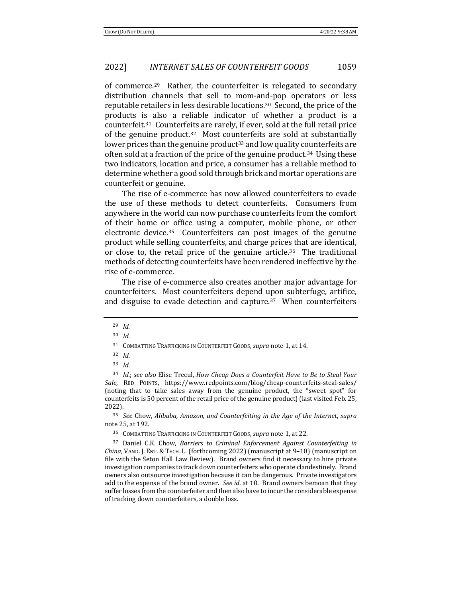of commerce.<sup>29</sup> Rather, the counterfeiter is relegated to secondary distribution channels that sell to mom-and-pop operators or less reputable retailers in less desirable locations.<sup>30</sup> Second, the price of the products is also a reliable indicator of whether a product is a counterfeit.<sup>31</sup> Counterfeits are rarely, if ever, sold at the full retail price of the genuine product.<sup>32</sup> Most counterfeits are sold at substantially lower prices than the genuine product<sup>33</sup> and low quality counterfeits are often sold at a fraction of the price of the genuine product.<sup>34</sup> Using these two indicators, location and price, a consumer has a reliable method to determine whether a good sold through brick and mortar operations are counterfeit or genuine.

The rise of e-commerce has now allowed counterfeiters to evade the use of these methods to detect counterfeits. Consumers from anywhere in the world can now purchase counterfeits from the comfort of their home or office using a computer, mobile phone, or other electronic device.<sup>35</sup> Counterfeiters can post images of the genuine product while selling counterfeits, and charge prices that are identical, or close to, the retail price of the genuine article.<sup>36</sup> The traditional methods of detecting counterfeits have been rendered ineffective by the rise of e-commerce. 

The rise of e-commerce also creates another major advantage for counterfeiters. Most counterfeiters depend upon subterfuge, artifice, and disguise to evade detection and capture. $37$  When counterfeiters

<sup>29</sup> *Id.*

<sup>30</sup> *Id.*

<sup>&</sup>lt;sup>31</sup> COMBATTING TRAFFICKING IN COUNTERFEIT GOODS, *supra* note 1, at 14.

<sup>32</sup> *Id.* 

<sup>33</sup> *Id.*

<sup>&</sup>lt;sup>34</sup> *Id.*; see also Elise Trecul, *How Cheap Does a Counterfeit Have to Be to Steal Your* Sale, RED POINTS, https://www.redpoints.com/blog/cheap-counterfeits-steal-sales/ (noting that to take sales away from the genuine product, the "sweet spot" for counterfeits is 50 percent of the retail price of the genuine product) (last visited Feb. 25, 2022).

<sup>35</sup> *See* Chow, *Alibaba, Amazon, and Counterfeiting in the Age of the Internet*, *supra* note 25, at 192.

<sup>&</sup>lt;sup>36</sup> COMBATTING TRAFFICKING IN COUNTERFEIT GOODS, *supra* note 1, at 22.

<sup>&</sup>lt;sup>37</sup> Daniel C.K. Chow, *Barriers to Criminal Enforcement Against Counterfeiting in* China, VAND. J. ENT. & TECH. L. (forthcoming 2022) (manuscript at 9-10) (manuscript on file with the Seton Hall Law Review). Brand owners find it necessary to hire private investigation companies to track down counterfeiters who operate clandestinely. Brand owners also outsource investigation because it can be dangerous. Private investigators add to the expense of the brand owner. *See id.* at 10. Brand owners bemoan that they suffer losses from the counterfeiter and then also have to incur the considerable expense of tracking down counterfeiters, a double loss.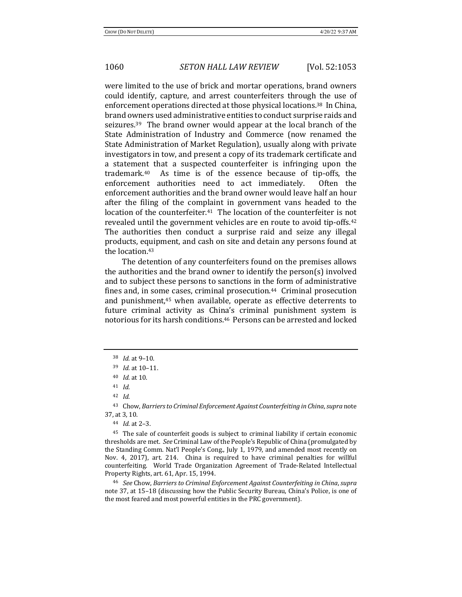were limited to the use of brick and mortar operations, brand owners could identify, capture, and arrest counterfeiters through the use of enforcement operations directed at those physical locations.<sup>38</sup> In China, brand owners used administrative entities to conduct surprise raids and seizures.<sup>39</sup> The brand owner would appear at the local branch of the State Administration of Industry and Commerce (now renamed the State Administration of Market Regulation), usually along with private investigators in tow, and present a copy of its trademark certificate and a statement that a suspected counterfeiter is infringing upon the trademark.<sup>40</sup> As time is of the essence because of tip-offs, the enforcement authorities need to act immediately. Often the enforcement authorities and the brand owner would leave half an hour after the filing of the complaint in government vans headed to the location of the counterfeiter. $41$  The location of the counterfeiter is not revealed until the government vehicles are en route to avoid tip-offs.<sup>42</sup> The authorities then conduct a surprise raid and seize any illegal products, equipment, and cash on site and detain any persons found at the location.<sup>43</sup>

The detention of any counterfeiters found on the premises allows the authorities and the brand owner to identify the person(s) involved and to subject these persons to sanctions in the form of administrative fines and, in some cases, criminal prosecution. $44$  Criminal prosecution and punishment,<sup>45</sup> when available, operate as effective deterrents to future criminal activity as China's criminal punishment system is notorious for its harsh conditions.<sup>46</sup> Persons can be arrested and locked

<sup>46</sup> See Chow, Barriers to Criminal Enforcement Against Counterfeiting in China, supra note 37, at 15–18 (discussing how the Public Security Bureau, China's Police, is one of the most feared and most powerful entities in the PRC government).

<sup>38</sup> *Id.* at 9-10.

<sup>39</sup> *Id.* at 10-11.

<sup>40</sup> *Id.* at 10.

<sup>41</sup> *Id.*

<sup>42</sup> *Id.*

<sup>&</sup>lt;sup>43</sup> Chow, *Barriers to Criminal Enforcement Against Counterfeiting in China*, *supra* note 37, at 3, 10.

<sup>44</sup> *Id.* at 2–3.

<sup>&</sup>lt;sup>45</sup> The sale of counterfeit goods is subject to criminal liability if certain economic thresholds are met. *See* Criminal Law of the People's Republic of China (promulgated by the Standing Comm. Nat'l People's Cong., July 1, 1979, and amended most recently on Nov. 4, 2017), art. 214. China is required to have criminal penalties for willful counterfeiting. World Trade Organization Agreement of Trade-Related Intellectual Property Rights, art. 61, Apr. 15, 1994.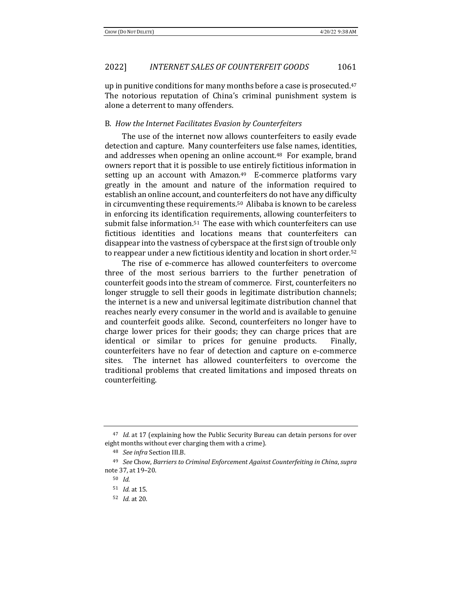up in punitive conditions for many months before a case is prosecuted. $47$ The notorious reputation of China's criminal punishment system is alone a deterrent to many offenders.

### B. How the Internet Facilitates Evasion by Counterfeiters

The use of the internet now allows counterfeiters to easily evade detection and capture. Many counterfeiters use false names, identities, and addresses when opening an online account.<sup>48</sup> For example, brand owners report that it is possible to use entirely fictitious information in setting up an account with Amazon. $49$  E-commerce platforms vary greatly in the amount and nature of the information required to establish an online account, and counterfeiters do not have any difficulty in circumventing these requirements.<sup>50</sup> Alibaba is known to be careless in enforcing its identification requirements, allowing counterfeiters to submit false information.<sup>51</sup> The ease with which counterfeiters can use fictitious identities and locations means that counterfeiters can disappear into the vastness of cyberspace at the first sign of trouble only to reappear under a new fictitious identity and location in short order.<sup>52</sup>

The rise of e-commerce has allowed counterfeiters to overcome three of the most serious barriers to the further penetration of counterfeit goods into the stream of commerce. First, counterfeiters no longer struggle to sell their goods in legitimate distribution channels; the internet is a new and universal legitimate distribution channel that reaches nearly every consumer in the world and is available to genuine and counterfeit goods alike. Second, counterfeiters no longer have to charge lower prices for their goods; they can charge prices that are identical or similar to prices for genuine products. Finally, counterfeiters have no fear of detection and capture on e-commerce sites. The internet has allowed counterfeiters to overcome the traditional problems that created limitations and imposed threats on counterfeiting. 

<sup>&</sup>lt;sup>47</sup> *Id.* at 17 (explaining how the Public Security Bureau can detain persons for over eight months without ever charging them with a crime).

<sup>48</sup> *See infra* Section III.B.

<sup>&</sup>lt;sup>49</sup> See Chow, Barriers to Criminal Enforcement Against Counterfeiting in China, supra note 37, at 19–20.

<sup>50</sup> *Id.*

<sup>51</sup> *Id.* at 15.

<sup>52</sup> *Id.* at 20.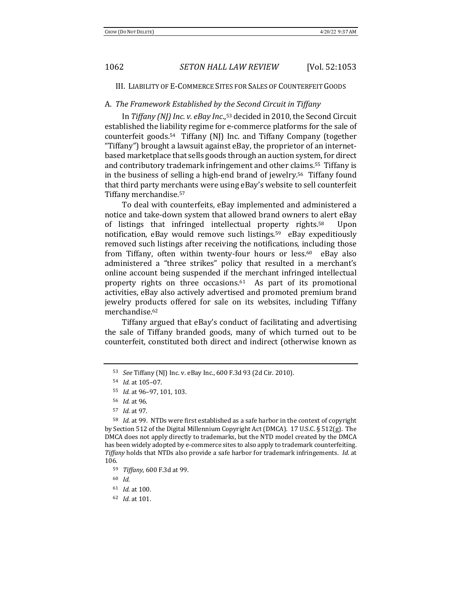III. LIABILITY OF E-COMMERCE SITES FOR SALES OF COUNTERFEIT GOODS

## A. The Framework Established by the Second Circuit in Tiffany

In *Tiffany* (NJ) Inc. v. eBay Inc.,<sup>53</sup> decided in 2010, the Second Circuit established the liability regime for e-commerce platforms for the sale of counterfeit goods.<sup>54</sup> Tiffany  $[N]$  Inc. and Tiffany Company (together "Tiffany") brought a lawsuit against eBay, the proprietor of an internetbased marketplace that sells goods through an auction system, for direct and contributory trademark infringement and other claims.<sup>55</sup> Tiffany is in the business of selling a high-end brand of jewelry.<sup>56</sup> Tiffany found that third party merchants were using eBay's website to sell counterfeit Tiffany merchandise.<sup>57</sup>

To deal with counterfeits, eBay implemented and administered a notice and take-down system that allowed brand owners to alert eBay of listings that infringed intellectual property rights.<sup>58</sup> Upon notification, eBay would remove such listings.<sup>59</sup> eBay expeditiously removed such listings after receiving the notifications, including those from Tiffany, often within twenty-four hours or less.<sup>60</sup> eBay also administered a "three strikes" policy that resulted in a merchant's online account being suspended if the merchant infringed intellectual property rights on three occasions. $61$  As part of its promotional activities, eBay also actively advertised and promoted premium brand jewelry products offered for sale on its websites, including Tiffany merchandise.62 

Tiffany argued that eBay's conduct of facilitating and advertising the sale of Tiffany branded goods, many of which turned out to be counterfeit, constituted both direct and indirect (otherwise known as

<sup>62</sup> *Id.* at 101.

<sup>53</sup> *See* Tiffany (NJ) Inc. v. eBay Inc., 600 F.3d 93 (2d Cir. 2010).

<sup>54</sup> *Id.* at 105-07.

<sup>55</sup> *Id.* at 96-97, 101, 103.

<sup>56</sup> *Id.* at 96. 

<sup>57</sup> *Id.* at 97.

<sup>&</sup>lt;sup>58</sup> *Id.* at 99. NTDs were first established as a safe harbor in the context of copyright by Section 512 of the Digital Millennium Copyright Act (DMCA).  $17 \text{ U.S.C.}$  § 512(g). The DMCA does not apply directly to trademarks, but the NTD model created by the DMCA has been widely adopted by e-commerce sites to also apply to trademark counterfeiting. *Tiffany* holds that NTDs also provide a safe harbor for trademark infringements. *Id.* at 106.

<sup>59</sup> *Tiffany*, 600 F.3d at 99.

<sup>60</sup> *Id.*

<sup>61</sup> *Id.* at 100.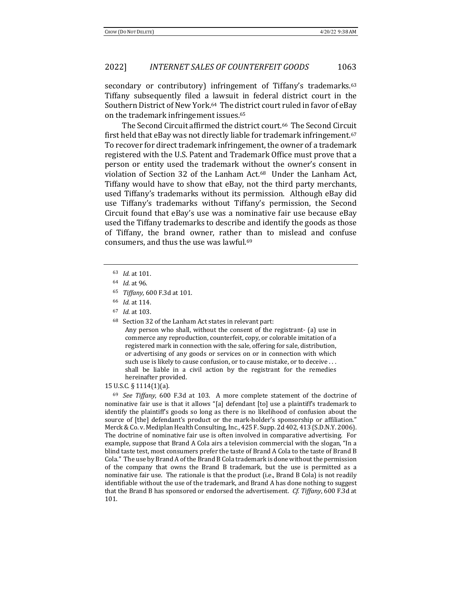secondary or contributory) infringement of Tiffany's trademarks.<sup>63</sup> Tiffany subsequently filed a lawsuit in federal district court in the Southern District of New York.<sup>64</sup> The district court ruled in favor of eBay on the trademark infringement issues.<sup>65</sup>

The Second Circuit affirmed the district court.<sup>66</sup> The Second Circuit first held that eBay was not directly liable for trademark infringement.<sup>67</sup> To recover for direct trademark infringement, the owner of a trademark registered with the U.S. Patent and Trademark Office must prove that a person or entity used the trademark without the owner's consent in violation of Section 32 of the Lanham Act.<sup>68</sup> Under the Lanham Act, Tiffany would have to show that eBay, not the third party merchants, used Tiffany's trademarks without its permission. Although eBay did use Tiffany's trademarks without Tiffany's permission, the Second Circuit found that eBay's use was a nominative fair use because eBay used the Tiffany trademarks to describe and identify the goods as those of Tiffany, the brand owner, rather than to mislead and confuse consumers, and thus the use was lawful.<sup>69</sup>

- 63 *Id.* at 101.
- <sup>64</sup> *Id.* at 96.
- <sup>65</sup> *Tiffany*, 600 F.3d at 101.
- 66 *Id.* at 114.
- 67 *Id.* at 103.
- $68$  Section 32 of the Lanham Act states in relevant part:

Any person who shall, without the consent of the registrant- (a) use in commerce any reproduction, counterfeit, copy, or colorable imitation of a registered mark in connection with the sale, offering for sale, distribution, or advertising of any goods or services on or in connection with which such use is likely to cause confusion, or to cause mistake, or to deceive ... shall be liable in a civil action by the registrant for the remedies hereinafter provided.

#### 15 U.S.C. § 1114(1)(a).

<sup>69</sup> See Tiffany, 600 F.3d at 103. A more complete statement of the doctrine of nominative fair use is that it allows "[a] defendant [to] use a plaintiff's trademark to identify the plaintiff's goods so long as there is no likelihood of confusion about the source of [the] defendant's product or the mark-holder's sponsorship or affiliation." Merck & Co. v. Mediplan Health Consulting, Inc., 425 F. Supp. 2d 402, 413 (S.D.N.Y. 2006). The doctrine of nominative fair use is often involved in comparative advertising. For example, suppose that Brand A Cola airs a television commercial with the slogan, "In a blind taste test, most consumers prefer the taste of Brand A Cola to the taste of Brand B Cola." The use by Brand A of the Brand B Cola trademark is done without the permission of the company that owns the Brand B trademark, but the use is permitted as a nominative fair use. The rationale is that the product (i.e., Brand B Cola) is not readily identifiable without the use of the trademark, and Brand A has done nothing to suggest that the Brand B has sponsored or endorsed the advertisement. *Cf. Tiffany*, 600 F.3d at 101.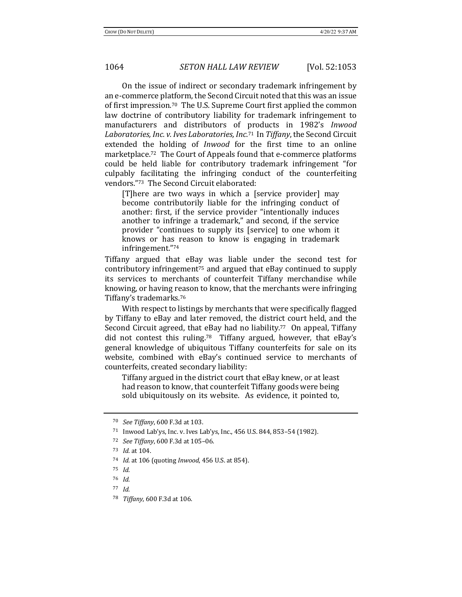On the issue of indirect or secondary trademark infringement by an e-commerce platform, the Second Circuit noted that this was an issue of first impression.<sup>70</sup> The U.S. Supreme Court first applied the common law doctrine of contributory liability for trademark infringement to manufacturers and distributors of products in 1982's *Inwood* Laboratories, Inc. v. Ives Laboratories, Inc.<sup>71</sup> In Tiffany, the Second Circuit extended the holding of *Inwood* for the first time to an online marketplace.<sup>72</sup> The Court of Appeals found that e-commerce platforms could be held liable for contributory trademark infringement "for culpably facilitating the infringing conduct of the counterfeiting vendors."73 The Second Circuit elaborated:

[T]here are two ways in which a [service provider] may become contributorily liable for the infringing conduct of another: first, if the service provider "intentionally induces another to infringe a trademark," and second, if the service provider "continues to supply its [service] to one whom it knows or has reason to know is engaging in trademark infringement."74 

Tiffany argued that eBay was liable under the second test for contributory infringement<sup>75</sup> and argued that eBay continued to supply its services to merchants of counterfeit Tiffany merchandise while knowing, or having reason to know, that the merchants were infringing Tiffany's trademarks.<sup>76</sup>

With respect to listings by merchants that were specifically flagged by Tiffany to eBay and later removed, the district court held, and the Second Circuit agreed, that eBay had no liability.<sup>77</sup> On appeal, Tiffany did not contest this ruling.<sup>78</sup> Tiffany argued, however, that eBay's general knowledge of ubiquitous Tiffany counterfeits for sale on its website, combined with eBay's continued service to merchants of counterfeits, created secondary liability:

Tiffany argued in the district court that eBay knew, or at least had reason to know, that counterfeit Tiffany goods were being sold ubiquitously on its website. As evidence, it pointed to,

<sup>70</sup> *See Tiffany*, 600 F.3d at 103.

<sup>71</sup> Inwood Lab'ys, Inc. v. Ives Lab'ys, Inc., 456 U.S. 844, 853-54 (1982).

<sup>72</sup> *See Tiffany*, 600 F.3d at 105-06.

<sup>73</sup> *Id.* at 104.

<sup>74</sup> *Id.* at 106 (quoting *Inwood*, 456 U.S. at 854).

<sup>75</sup> *Id.* 

<sup>76</sup> *Id.*

<sup>77</sup> *Id.*

<sup>78</sup> *Tiffany*, 600 F.3d at 106.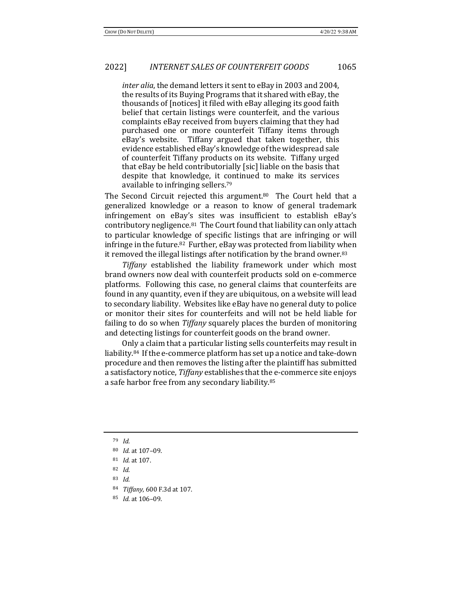*inter alia*, the demand letters it sent to eBay in 2003 and 2004, the results of its Buying Programs that it shared with eBay, the thousands of [notices] it filed with eBay alleging its good faith belief that certain listings were counterfeit, and the various complaints eBay received from buyers claiming that they had purchased one or more counterfeit Tiffany items through eBay's website. Tiffany argued that taken together, this evidence established eBay's knowledge of the widespread sale of counterfeit Tiffany products on its website. Tiffany urged that eBay be held contributorially [sic] liable on the basis that despite that knowledge, it continued to make its services available to infringing sellers.<sup>79</sup>

The Second Circuit rejected this argument.<sup>80</sup> The Court held that a generalized knowledge or a reason to know of general trademark infringement on eBay's sites was insufficient to establish eBay's contributory negligence.<sup>81</sup> The Court found that liability can only attach to particular knowledge of specific listings that are infringing or will infringe in the future.<sup>82</sup> Further, eBay was protected from liability when it removed the illegal listings after notification by the brand owner.<sup>83</sup>

*Tiffany* established the liability framework under which most brand owners now deal with counterfeit products sold on e-commerce platforms. Following this case, no general claims that counterfeits are found in any quantity, even if they are ubiquitous, on a website will lead to secondary liability. Websites like eBay have no general duty to police or monitor their sites for counterfeits and will not be held liable for failing to do so when *Tiffany* squarely places the burden of monitoring and detecting listings for counterfeit goods on the brand owner.

Only a claim that a particular listing sells counterfeits may result in liability.<sup>84</sup> If the e-commerce platform has set up a notice and take-down procedure and then removes the listing after the plaintiff has submitted a satisfactory notice, *Tiffany* establishes that the e-commerce site enjoys a safe harbor free from any secondary liability.<sup>85</sup>

85 *Id.* at 106-09.

<sup>79</sup> *Id.*

<sup>80</sup> *Id.* at 107-09.

<sup>81</sup> *Id.* at 107.

<sup>82</sup> *Id.*

<sup>83</sup> *Id.*

<sup>84</sup> *Tiffany*, 600 F.3d at 107.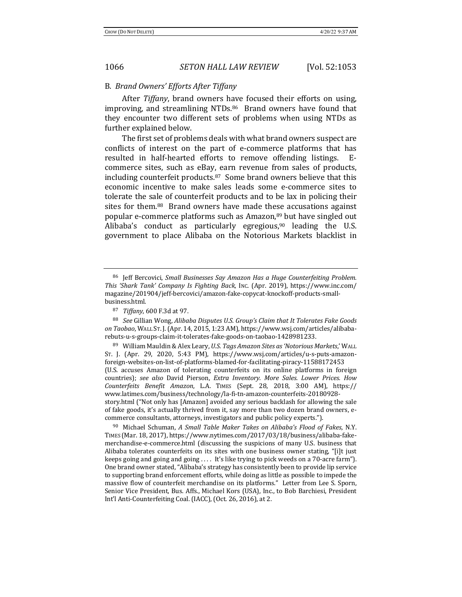#### B. *Brand Owners' Efforts After Tiffany*

After *Tiffany*, brand owners have focused their efforts on using, improving, and streamlining NTDs.<sup>86</sup> Brand owners have found that they encounter two different sets of problems when using NTDs as further explained below.

The first set of problems deals with what brand owners suspect are conflicts of interest on the part of e-commerce platforms that has resulted in half-hearted efforts to remove offending listings. Ecommerce sites, such as eBay, earn revenue from sales of products, including counterfeit products. $87$  Some brand owners believe that this economic incentive to make sales leads some e-commerce sites to tolerate the sale of counterfeit products and to be lax in policing their sites for them. $88$  Brand owners have made these accusations against popular e-commerce platforms such as Amazon,<sup>89</sup> but have singled out Alibaba's conduct as particularly egregious,<sup>90</sup> leading the U.S. government to place Alibaba on the Notorious Markets blacklist in

89 William Mauldin & Alex Leary, *U.S. Tags Amazon Sites as 'Notorious Markets*,' WALL ST. J. (Apr. 29, 2020, 5:43 PM), https://www.wsj.com/articles/u-s-puts-amazonforeign-websites-on-list-of-platforms-blamed-for-facilitating-piracy-11588172453 (U.S. accuses Amazon of tolerating counterfeits on its online platforms in foreign countries); see also David Pierson, *Extra Inventory. More Sales. Lower Prices. How Counterfeits Benefit Amazon*, L.A. TIMES (Sept. 28, 2018, 3:00 AM), https:// www.latimes.com/business/technology/la-fi-tn-amazon-counterfeits-20180928 story.html ("Not only has [Amazon] avoided any serious backlash for allowing the sale of fake goods, it's actually thrived from it, say more than two dozen brand owners, ecommerce consultants, attorneys, investigators and public policy experts.").

<sup>90</sup> Michael Schuman, *A Small Table Maker Takes on Alibaba's Flood of Fakes*, N.Y. TIMES (Mar. 18, 2017), https://www.nytimes.com/2017/03/18/business/alibaba-fakemerchandise-e-commerce.html (discussing the suspicions of many U.S. business that Alibaba tolerates counterfeits on its sites with one business owner stating, "[i]t just keeps going and going and going  $\dots$  It's like trying to pick weeds on a 70-acre farm"). One brand owner stated, "Alibaba's strategy has consistently been to provide lip service to supporting brand enforcement efforts, while doing as little as possible to impede the massive flow of counterfeit merchandise on its platforms." Letter from Lee S. Sporn, Senior Vice President, Bus. Affs., Michael Kors (USA), Inc., to Bob Barchiesi, President Int'l Anti-Counterfeiting Coal. (IACC), (Oct. 26, 2016), at 2.

<sup>&</sup>lt;sup>86</sup> Jeff Bercovici, *Small Businesses Say Amazon Has a Huge Counterfeiting Problem. This 'Shark Tank' Company Is Fighting Back*, INC. (Apr. 2019), https://www.inc.com/ magazine/201904/jeff-bercovici/amazon-fake-copycat-knockoff-products-smallbusiness.html.

<sup>87</sup> *Tiffany*, 600 F.3d at 97.

<sup>88</sup> *See* Gillian Wong, *Alibaba Disputes U.S. Group's Claim that It Tolerates Fake Goods* on Taobao, WALL ST. J. (Apr. 14, 2015, 1:23 AM), https://www.wsj.com/articles/alibabarebuts-u-s-groups-claim-it-tolerates-fake-goods-on-taobao-1428981233.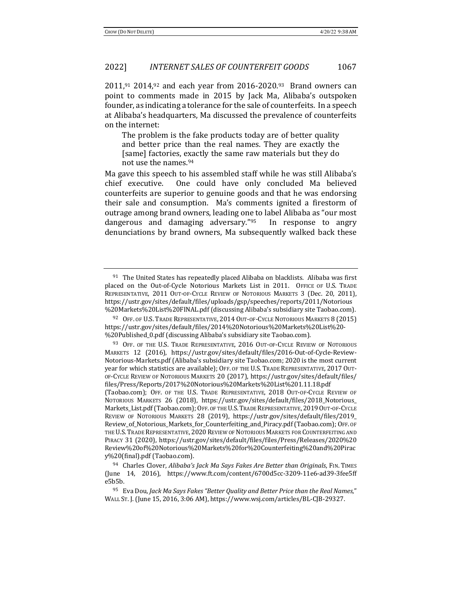$2011$ ,<sup>91</sup> 2014,<sup>92</sup> and each year from 2016-2020.<sup>93</sup> Brand owners can point to comments made in 2015 by Jack Ma, Alibaba's outspoken founder, as indicating a tolerance for the sale of counterfeits. In a speech at Alibaba's headquarters, Ma discussed the prevalence of counterfeits on the internet:

The problem is the fake products today are of better quality and better price than the real names. They are exactly the [same] factories, exactly the same raw materials but they do not use the names.<sup>94</sup>

Ma gave this speech to his assembled staff while he was still Alibaba's chief executive. One could have only concluded Ma believed counterfeits are superior to genuine goods and that he was endorsing their sale and consumption. Ma's comments ignited a firestorm of outrage among brand owners, leading one to label Alibaba as "our most dangerous and damaging adversary." $95$  In response to angry denunciations by brand owners, Ma subsequently walked back these

 $91$  The United States has repeatedly placed Alibaba on blacklists. Alibaba was first placed on the Out-of-Cycle Notorious Markets List in 2011. OFFICE OF U.S. TRADE REPRESENTATIVE, 2011 OUT-OF-CYCLE REVIEW OF NOTORIOUS MARKETS 3 (Dec. 20, 2011), https://ustr.gov/sites/default/files/uploads/gsp/speeches/reports/2011/Notorious %20Markets%20List%20FINAL.pdf (discussing Alibaba's subsidiary site Taobao.com).

<sup>92</sup> OFF. OF U.S. TRADE REPRESENTATIVE, 2014 OUT-OF-CYCLE NOTORIOUS MARKETS 8 (2015) https://ustr.gov/sites/default/files/2014%20Notorious%20Markets%20List%20- %20Published\_0.pdf (discussing Alibaba's subsidiary site Taobao.com).

<sup>93</sup> OFF. OF THE U.S. TRADE REPRESENTATIVE, 2016 OUT-OF-CYCLE REVIEW OF NOTORIOUS MARKETS 12 (2016), https://ustr.gov/sites/default/files/2016-Out-of-Cycle-Review-Notorious-Markets.pdf (Alibaba's subsidiary site Taobao.com; 2020 is the most current year for which statistics are available); OFF. OF THE U.S. TRADE REPRESENTATIVE, 2017 OUT-OF-CYCLE REVIEW OF NOTORIOUS MARKETS 20 (2017), https://ustr.gov/sites/default/files/ files/Press/Reports/2017%20Notorious%20Markets%20List%201.11.18.pdf 

<sup>(</sup>Taobao.com); OFF. OF THE U.S. TRADE REPRESENTATIVE, 2018 OUT-OF-CYCLE REVIEW OF NOTORIOUS MARKETS 26 (2018), https://ustr.gov/sites/default/files/2018 Notorious Markets\_List.pdf (Taobao.com); OFF. OF THE U.S. TRADE REPRESENTATIVE, 2019 OUT-OF-CYCLE REVIEW OF NOTORIOUS MARKETS 28 (2019), https://ustr.gov/sites/default/files/2019\_ Review\_of\_Notorious\_Markets\_for\_Counterfeiting\_and\_Piracy.pdf (Taobao.com); OFF. OF THE U.S. TRADE REPRESENTATIVE, 2020 REVIEW OF NOTORIOUS MARKETS FOR COUNTERFEITING AND PIRACY 31 (2020), https://ustr.gov/sites/default/files/files/Press/Releases/2020%20 Review%20of%20Notorious%20Markets%20for%20Counterfeiting%20and%20Pirac y%20(final).pdf (Taobao.com).

<sup>94</sup> Charles Clover, *Alibaba's Jack Ma Says Fakes Are Better than Originals*, FIN. TIMES (June 14, 2016), https://www.ft.com/content/6700d5cc-3209-11e6-ad39-3fee5ff e5b5b.

<sup>&</sup>lt;sup>95</sup> Eva Dou, *Jack Ma Says Fakes "Better Quality and Better Price than the Real Names*," WALL ST. J. (June 15, 2016, 3:06 AM), https://www.wsj.com/articles/BL-CJB-29327.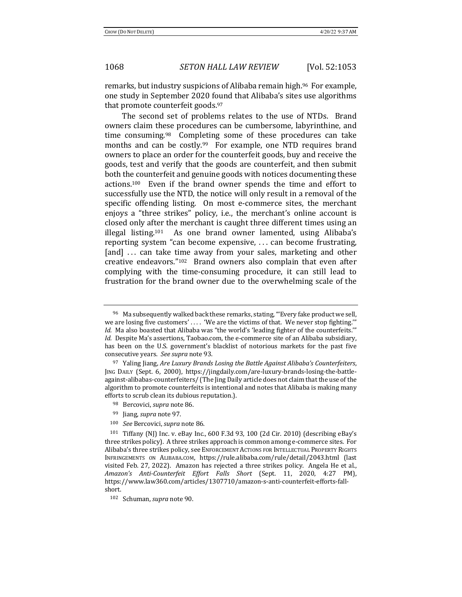remarks, but industry suspicions of Alibaba remain high.<sup>96</sup> For example, one study in September 2020 found that Alibaba's sites use algorithms that promote counterfeit goods. $97$ 

The second set of problems relates to the use of NTDs. Brand owners claim these procedures can be cumbersome, labyrinthine, and time consuming.<sup>98</sup> Completing some of these procedures can take months and can be costly.<sup>99</sup> For example, one NTD requires brand owners to place an order for the counterfeit goods, buy and receive the goods, test and verify that the goods are counterfeit, and then submit both the counterfeit and genuine goods with notices documenting these  $actions<sup>100</sup>$  Even if the brand owner spends the time and effort to successfully use the NTD, the notice will only result in a removal of the specific offending listing. On most e-commerce sites, the merchant enjoys a "three strikes" policy, *i.e.*, the merchant's online account is closed only after the merchant is caught three different times using an illegal listing.<sup>101</sup> As one brand owner lamented, using Alibaba's reporting system "can become expensive,  $\ldots$  can become frustrating, [and] ... can take time away from your sales, marketing and other creative endeavors." $102$  Brand owners also complain that even after complying with the time-consuming procedure, it can still lead to frustration for the brand owner due to the overwhelming scale of the

- 98 Bercovici, *supra* note 86.
- <sup>99</sup> Jiang, *supra* note 97.
- 100 *See* Bercovici, *supra* note 86.

<sup>&</sup>lt;sup>96</sup> Ma subsequently walked back these remarks, stating, "'Every fake product we sell, we are losing five customers'  $\dots$  'We are the victims of that. We never stop fighting.' Id. Ma also boasted that Alibaba was "the world's 'leading fighter of the counterfeits." *Id.* Despite Ma's assertions, Taobao.com, the e-commerce site of an Alibaba subsidiary, has been on the U.S. government's blacklist of notorious markets for the past five consecutive years. See supra note 93.

<sup>97</sup> Yaling Jiang, *Are Luxury Brands Losing the Battle Against Alibaba's Counterfeiters*, JING DAILY (Sept. 6, 2000), https://jingdaily.com/are-luxury-brands-losing-the-battleagainst-alibabas-counterfeiters/ (The Jing Daily article does not claim that the use of the algorithm to promote counterfeits is intentional and notes that Alibaba is making many efforts to scrub clean its dubious reputation.).

 $101$  Tiffany (NJ) Inc. v. eBay Inc., 600 F.3d 93, 100 (2d Cir. 2010) (describing eBay's three strikes policy). A three strikes approach is common among e-commerce sites. For Alibaba's three strikes policy, see ENFORCEMENT ACTIONS FOR INTELLECTUAL PROPERTY RIGHTS INFRINGEMENTS ON ALIBABA.COM, https://rule.alibaba.com/rule/detail/2043.html (last visited Feb. 27, 2022). Amazon has rejected a three strikes policy. Angela He et al., *Amazon's Anti-Counterfeit Effort Falls Short* (Sept. 11, 2020, 4:27 PM), https://www.law360.com/articles/1307710/amazon-s-anti-counterfeit-efforts-fallshort. 

<sup>102</sup> Schuman, *supra* note 90.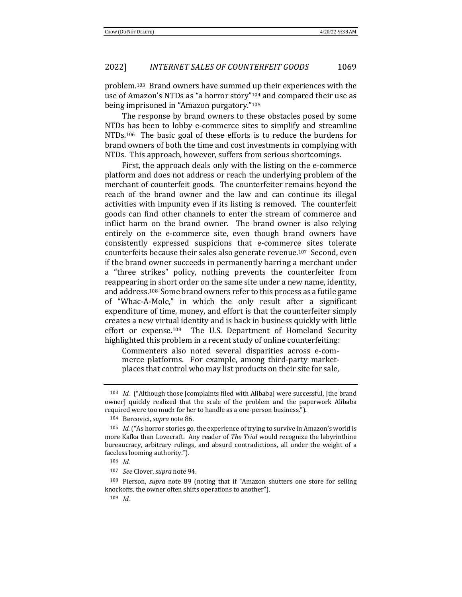problem.<sup>103</sup> Brand owners have summed up their experiences with the use of Amazon's NTDs as "a horror story"<sup>104</sup> and compared their use as being imprisoned in "Amazon purgatory."<sup>105</sup>

The response by brand owners to these obstacles posed by some NTDs has been to lobby e-commerce sites to simplify and streamline NTDs.<sup>106</sup> The basic goal of these efforts is to reduce the burdens for brand owners of both the time and cost investments in complying with NTDs. This approach, however, suffers from serious shortcomings.

First, the approach deals only with the listing on the e-commerce platform and does not address or reach the underlying problem of the merchant of counterfeit goods. The counterfeiter remains beyond the reach of the brand owner and the law and can continue its illegal activities with impunity even if its listing is removed. The counterfeit goods can find other channels to enter the stream of commerce and inflict harm on the brand owner. The brand owner is also relying entirely on the e-commerce site, even though brand owners have consistently expressed suspicions that e-commerce sites tolerate counterfeits because their sales also generate revenue.<sup>107</sup> Second, even if the brand owner succeeds in permanently barring a merchant under a "three strikes" policy, nothing prevents the counterfeiter from reappearing in short order on the same site under a new name, identity, and address.<sup>108</sup> Some brand owners refer to this process as a futile game of "Whac-A-Mole," in which the only result after a significant expenditure of time, money, and effort is that the counterfeiter simply creates a new virtual identity and is back in business quickly with little effort or expense.<sup>109</sup> The U.S. Department of Homeland Security highlighted this problem in a recent study of online counterfeiting:

Commenters also noted several disparities across e-commerce platforms. For example, among third-party marketplaces that control who may list products on their site for sale,

<sup>108</sup> Pierson, *supra* note 89 (noting that if "Amazon shutters one store for selling knockoffs, the owner often shifts operations to another").

 $109$  *Id.* 

<sup>&</sup>lt;sup>103</sup> *Id.* ("Although those [complaints filed with Alibaba] were successful, [the brand owner] quickly realized that the scale of the problem and the paperwork Alibaba required were too much for her to handle as a one-person business.").

<sup>104</sup> Bercovici, *supra* note 86.

<sup>&</sup>lt;sup>105</sup> *Id.* ("As horror stories go, the experience of trying to survive in Amazon's world is more Kafka than Lovecraft. Any reader of *The Trial* would recognize the labyrinthine bureaucracy, arbitrary rulings, and absurd contradictions, all under the weight of a faceless looming authority.").

<sup>106</sup> *Id.*

<sup>107</sup> *See* Clover, *supra* note 94.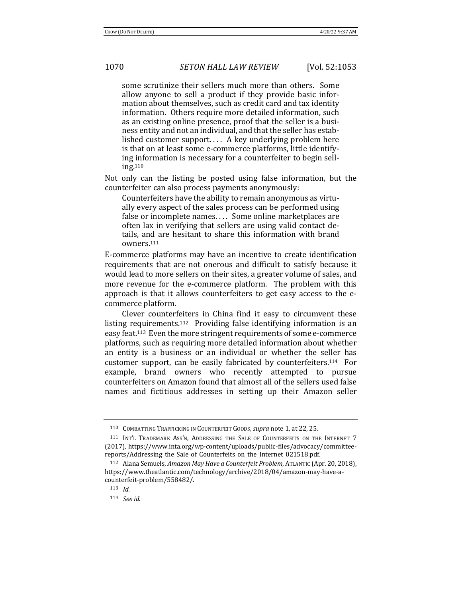some scrutinize their sellers much more than others. Some allow anyone to sell a product if they provide basic information about themselves, such as credit card and tax identity information. Others require more detailed information, such as an existing online presence, proof that the seller is a business entity and not an individual, and that the seller has established customer support.... A key underlying problem here is that on at least some e-commerce platforms, little identifying information is necessary for a counterfeiter to begin selling.110

Not only can the listing be posted using false information, but the counterfeiter can also process payments anonymously:

Counterfeiters have the ability to remain anonymous as virtually every aspect of the sales process can be performed using false or incomplete names.... Some online marketplaces are often lax in verifying that sellers are using valid contact details, and are hesitant to share this information with brand owners.111

E-commerce platforms may have an incentive to create identification requirements that are not onerous and difficult to satisfy because it would lead to more sellers on their sites, a greater volume of sales, and more revenue for the e-commerce platform. The problem with this approach is that it allows counterfeiters to get easy access to the ecommerce platform.

Clever counterfeiters in China find it easy to circumvent these listing requirements.<sup>112</sup> Providing false identifying information is an easy feat.<sup>113</sup> Even the more stringent requirements of some e-commerce platforms, such as requiring more detailed information about whether an entity is a business or an individual or whether the seller has customer support, can be easily fabricated by counterfeiters.<sup>114</sup> For example, brand owners who recently attempted to pursue counterfeiters on Amazon found that almost all of the sellers used false names and fictitious addresses in setting up their Amazon seller

<sup>110</sup> COMBATTING TRAFFICKING IN COUNTERFEIT GOODS, *supra* note 1, at 22, 25.

<sup>111</sup> INT'L TRADEMARK ASS'N, ADDRESSING THE SALE OF COUNTERFEITS ON THE INTERNET 7 (2017), https://www.inta.org/wp-content/uploads/public-files/advocacy/committeereports/Addressing\_the\_Sale\_of\_Counterfeits\_on\_the\_Internet\_021518.pdf.

<sup>&</sup>lt;sup>112</sup> Alana Semuels, *Amazon May Have a Counterfeit Problem*, ATLANTIC (Apr. 20, 2018), https://www.theatlantic.com/technology/archive/2018/04/amazon-may-have-acounterfeit-problem/558482/.

<sup>113</sup> *Id.*

<sup>114</sup> *See id.*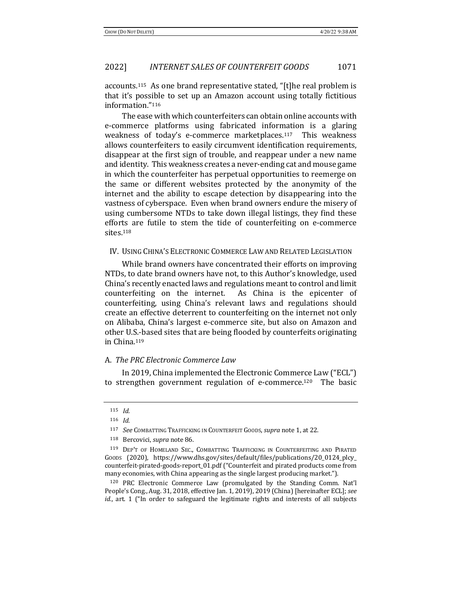accounts.<sup>115</sup> As one brand representative stated, "[t]he real problem is that it's possible to set up an Amazon account using totally fictitious information."116

The ease with which counterfeiters can obtain online accounts with e-commerce platforms using fabricated information is a glaring weakness of today's e-commerce marketplaces.<sup>117</sup> This weakness allows counterfeiters to easily circumvent identification requirements, disappear at the first sign of trouble, and reappear under a new name and identity. This weakness creates a never-ending cat and mouse game in which the counterfeiter has perpetual opportunities to reemerge on the same or different websites protected by the anonymity of the internet and the ability to escape detection by disappearing into the vastness of cyberspace. Even when brand owners endure the misery of using cumbersome NTDs to take down illegal listings, they find these efforts are futile to stem the tide of counterfeiting on e-commerce sites.118

#### IV. USING CHINA'S ELECTRONIC COMMERCE LAW AND RELATED LEGISLATION

While brand owners have concentrated their efforts on improving NTDs, to date brand owners have not, to this Author's knowledge, used China's recently enacted laws and regulations meant to control and limit counterfeiting on the internet. As China is the epicenter of counterfeiting, using China's relevant laws and regulations should create an effective deterrent to counterfeiting on the internet not only on Alibaba, China's largest e-commerce site, but also on Amazon and other U.S.-based sites that are being flooded by counterfeits originating in China.119

## A. *The PRC Electronic Commerce Law*

In 2019, China implemented the Electronic Commerce Law ("ECL") to strengthen government regulation of e-commerce.<sup>120</sup> The basic

<sup>120</sup> PRC Electronic Commerce Law (promulgated by the Standing Comm. Nat'l People's Cong., Aug. 31, 2018, effective Jan. 1, 2019), 2019 (China) [hereinafter ECL]; see *id.*, art. 1 ("In order to safeguard the legitimate rights and interests of all subjects

<sup>115</sup> *Id.*

<sup>116</sup> *Id.*

<sup>117</sup> *See* COMBATTING TRAFFICKING IN COUNTERFEIT GOODS, *supra* note 1, at 22.

<sup>118</sup> Bercovici, *supra* note 86.

<sup>119</sup> DEP'T OF HOMELAND SEC., COMBATTING TRAFFICKING IN COUNTERFEITING AND PIRATED Goops (2020), https://www.dhs.gov/sites/default/files/publications/20\_0124\_plcy counterfeit-pirated-goods-report\_01.pdf ("Counterfeit and pirated products come from many economies, with China appearing as the single largest producing market.").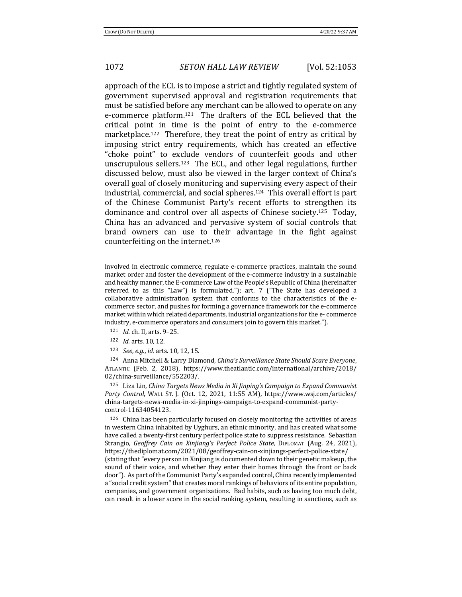approach of the ECL is to impose a strict and tightly regulated system of government supervised approval and registration requirements that must be satisfied before any merchant can be allowed to operate on any e-commerce platform.<sup>121</sup> The drafters of the ECL believed that the critical point in time is the point of entry to the e-commerce marketplace.<sup>122</sup> Therefore, they treat the point of entry as critical by imposing strict entry requirements, which has created an effective "choke point" to exclude vendors of counterfeit goods and other unscrupulous sellers.<sup>123</sup> The ECL, and other legal regulations, further discussed below, must also be viewed in the larger context of China's overall goal of closely monitoring and supervising every aspect of their industrial, commercial, and social spheres.<sup>124</sup> This overall effort is part of the Chinese Communist Party's recent efforts to strengthen its dominance and control over all aspects of Chinese society.<sup>125</sup> Today, China has an advanced and pervasive system of social controls that brand owners can use to their advantage in the fight against counterfeiting on the internet.<sup>126</sup>

involved in electronic commerce, regulate e-commerce practices, maintain the sound market order and foster the development of the e-commerce industry in a sustainable and healthy manner, the E-commerce Law of the People's Republic of China (hereinafter referred to as this "Law") is formulated."); art. 7 ("The State has developed a collaborative administration system that conforms to the characteristics of the ecommerce sector, and pushes for forming a governance framework for the e-commerce market within which related departments, industrial organizations for the e- commerce industry, e-commerce operators and consumers join to govern this market.").

- 121 *Id.* ch. II, arts. 9-25.
- 122 *Id.* arts. 10, 12.
- 123 *See, e.g., id.* arts. 10, 12, 15.

124 Anna Mitchell & Larry Diamond, *China's Surveillance State Should Scare Everyone*, ATLANTIC (Feb. 2, 2018), https://www.theatlantic.com/international/archive/2018/ 02/china-surveillance/552203/.

125 Liza Lin, *China Targets News Media in Xi Jinping's Campaign to Expand Communist* Party Control, WALL ST. J. (Oct. 12, 2021, 11:55 AM), https://www.wsj.com/articles/ china-targets-news-media-in-xi-jinpings-campaign-to-expand-communist-partycontrol-11634054123.

 $126$  China has been particularly focused on closely monitoring the activities of areas in western China inhabited by Uyghurs, an ethnic minority, and has created what some have called a twenty-first century perfect police state to suppress resistance. Sebastian Strangio, *Geoffrey Cain on Xinjiang's Perfect Police State*, DIPLOMAT (Aug. 24, 2021), https://thediplomat.com/2021/08/geoffrey-cain-on-xinjiangs-perfect-police-state/ (stating that "every person in Xinjiang is documented down to their genetic makeup, the sound of their voice, and whether they enter their homes through the front or back door"). As part of the Communist Party's expanded control, China recently implemented a "social credit system" that creates moral rankings of behaviors of its entire population, companies, and government organizations. Bad habits, such as having too much debt, can result in a lower score in the social ranking system, resulting in sanctions, such as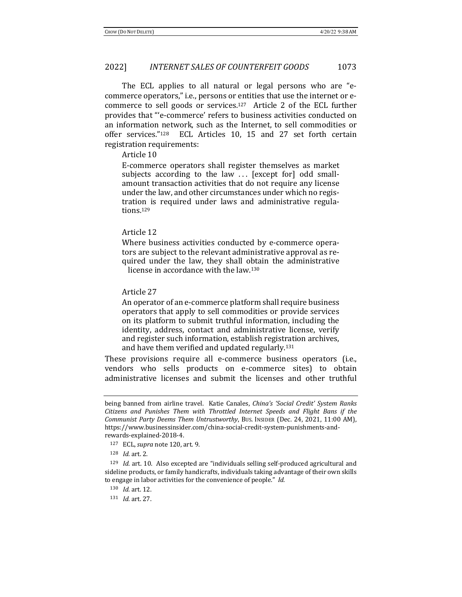The ECL applies to all natural or legal persons who are "ecommerce operators," i.e., persons or entities that use the internet or ecommerce to sell goods or services.<sup>127</sup> Article 2 of the ECL further provides that "'e-commerce' refers to business activities conducted on an information network, such as the Internet, to sell commodities or offer services." $128$  ECL Articles 10, 15 and 27 set forth certain registration requirements:

#### Article 10

E-commerce operators shall register themselves as market subjects according to the law  $\ldots$  [except for] odd smallamount transaction activities that do not require any license under the law, and other circumstances under which no registration is required under laws and administrative regulations.129

### Article 12

Where business activities conducted by e-commerce operators are subject to the relevant administrative approval as required under the law, they shall obtain the administrative license in accordance with the law.<sup>130</sup>

Article 27

An operator of an e-commerce platform shall require business operators that apply to sell commodities or provide services on its platform to submit truthful information, including the identity, address, contact and administrative license, verify and register such information, establish registration archives, and have them verified and updated regularly.<sup>131</sup>

These provisions require all e-commerce business operators (i.e., vendors who sells products on e-commerce sites) to obtain administrative licenses and submit the licenses and other truthful

being banned from airline travel. Katie Canales, *China's 'Social Credit' System Ranks* Citizens and Punishes Them with Throttled Internet Speeds and Flight Bans if the *Communist Party Deems Them Untrustworthy*, Bus. Insider (Dec. 24, 2021, 11:00 AM), https://www.businessinsider.com/china-social-credit-system-punishments-andrewards-explained-2018-4.

<sup>127</sup> ECL, *supra* note 120, art. 9.

<sup>128</sup> *Id.* art. 2.

 $129$  *Id.* art. 10. Also excepted are "individuals selling self-produced agricultural and sideline products, or family handicrafts, individuals taking advantage of their own skills to engage in labor activities for the convenience of people." Id.

<sup>130</sup> *Id.* art. 12.

<sup>131</sup> *Id.* art. 27.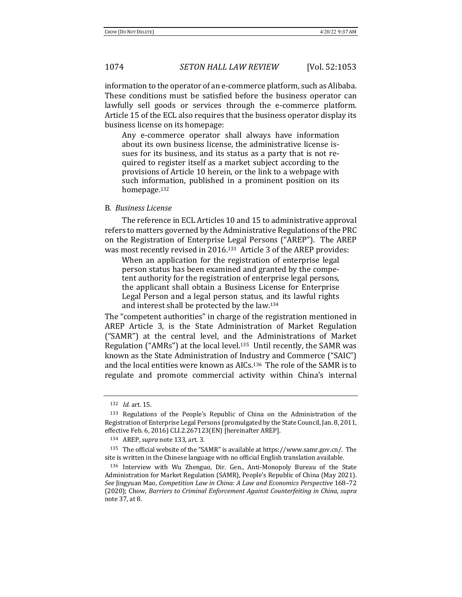information to the operator of an e-commerce platform, such as Alibaba. These conditions must be satisfied before the business operator can lawfully sell goods or services through the e-commerce platform. Article 15 of the ECL also requires that the business operator display its business license on its homepage:

Any e-commerce operator shall always have information about its own business license, the administrative license issues for its business, and its status as a party that is not required to register itself as a market subject according to the provisions of Article 10 herein, or the link to a webpage with such information, published in a prominent position on its homepage.132

## B. *Business License*

The reference in ECL Articles 10 and 15 to administrative approval refers to matters governed by the Administrative Regulations of the PRC on the Registration of Enterprise Legal Persons ("AREP"). The AREP was most recently revised in 2016.<sup>133</sup> Article 3 of the AREP provides:

When an application for the registration of enterprise legal person status has been examined and granted by the competent authority for the registration of enterprise legal persons, the applicant shall obtain a Business License for Enterprise Legal Person and a legal person status, and its lawful rights and interest shall be protected by the law. $134$ 

The "competent authorities" in charge of the registration mentioned in AREP Article 3, is the State Administration of Market Regulation ("SAMR") at the central level, and the Administrations of Market Regulation  $("AMRs")$  at the local level.<sup>135</sup> Until recently, the SAMR was known as the State Administration of Industry and Commerce ("SAIC") and the local entities were known as AICs.<sup>136</sup> The role of the SAMR is to regulate and promote commercial activity within China's internal

<sup>132</sup> *Id.* art. 15.

<sup>133</sup> Regulations of the People's Republic of China on the Administration of the Registration of Enterprise Legal Persons (promulgated by the State Council, Jan. 8, 2011, effective Feb. 6, 2016) CLI.2.267123(EN) [hereinafter AREP].

<sup>134</sup> AREP, *supra* note 133, art. 3.

 $135$  The official website of the "SAMR" is available at https://www.samr.gov.cn/. The site is written in the Chinese language with no official English translation available.

<sup>136</sup> Interview with Wu Zhenguo, Dir. Gen., Anti-Monopoly Bureau of the State Administration for Market Regulation (SAMR), People's Republic of China (May 2021). *See* Jingyuan Mao, *Competition Law in China: A Law and Economics Perspective* 168–72 (2020); Chow, *Barriers to Criminal Enforcement Against Counterfeiting in China, supra* note 37, at 8.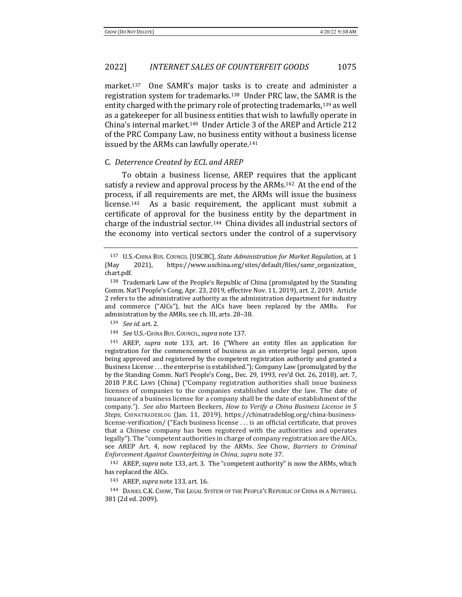market.<sup>137</sup> One SAMR's major tasks is to create and administer a registration system for trademarks.<sup>138</sup> Under PRC law, the SAMR is the entity charged with the primary role of protecting trademarks, $^{139}$  as well as a gatekeeper for all business entities that wish to lawfully operate in China's internal market.<sup>140</sup> Under Article 3 of the AREP and Article 212 of the PRC Company Law, no business entity without a business license issued by the ARMs can lawfully operate.<sup>141</sup>

#### C. *Deterrence Created by ECL and AREP*

To obtain a business license, AREP requires that the applicant satisfy a review and approval process by the ARMs.<sup>142</sup> At the end of the process, if all requirements are met, the ARMs will issue the business license.<sup>143</sup> As a basic requirement, the applicant must submit a certificate of approval for the business entity by the department in charge of the industrial sector.<sup>144</sup> China divides all industrial sectors of the economy into vertical sectors under the control of a supervisory

<sup>137</sup> U.S.-CHINA BUS. COUNCIL [USCBC], *State Administration for Market Regulation*, at 1 (May 2021), https://www.uschina.org/sites/default/files/samr\_organization\_ chart.pdf.

<sup>138</sup> Trademark Law of the People's Republic of China (promulgated by the Standing Comm. Nat'l People's Cong, Apr. 23, 2019, effective Nov. 11, 2019), art. 2, 2019. Article 2 refers to the administrative authority as the administration department for industry and commerce ("AICs"), but the AICs have been replaced by the AMRs. For administration by the AMRs, see ch. III, arts. 28-38.

<sup>139</sup> *See id.* art. 2. 

<sup>140</sup> *See* U.S.-CHINA BUS. COUNCIL, *supra* note 137.

<sup>&</sup>lt;sup>141</sup> AREP, *supra* note 133, art. 16 ("Where an entity files an application for registration for the commencement of business as an enterprise legal person, upon being approved and registered by the competent registration authority and granted a Business License  $\dots$  the enterprise is established."); Company Law (promulgated by the by the Standing Comm. Nat'l People's Cong., Dec. 29, 1993, rev'd Oct. 26, 2018), art. 7, 2018 P.R.C. Laws (China) ("Company registration authorities shall issue business licenses of companies to the companies established under the law. The date of issuance of a business license for a company shall be the date of establishment of the company."). See also Marteen Beekers, *How to Verify a China Business License in* 5 Steps, CHINATRADEBLOG (Jan. 11, 2019), https://chinatradeblog.org/china-businesslicense-verification/ ("Each business license ... is an official certificate, that proves that a Chinese company has been registered with the authorities and operates legally"). The "competent authorities in charge of company registration are the AICs, see AREP Art. 4, now replaced by the ARMs. See Chow, Barriers to Criminal *Enforcement Against Counterfeiting in China*, *supra* note 37. 

<sup>&</sup>lt;sup>142</sup> AREP, *supra* note 133, art. 3. The "competent authority" is now the ARMs, which has replaced the AICs.

<sup>143</sup> AREP, *supra* note 133, art. 16.

<sup>144</sup> DANIEL C.K. CHOW, THE LEGAL SYSTEM OF THE PEOPLE'S REPUBLIC OF CHINA IN A NUTSHELL 381 (2d ed. 2009).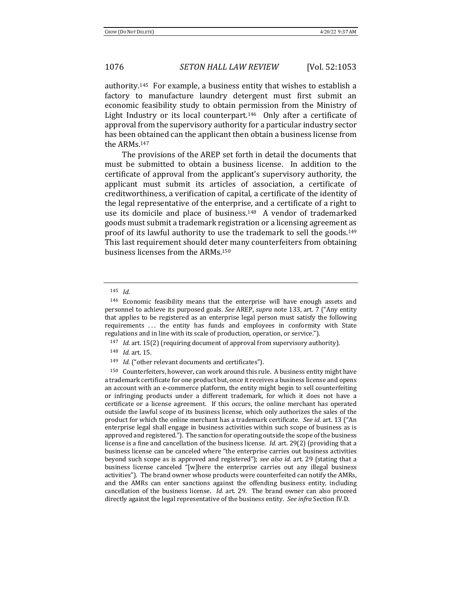authority.<sup>145</sup> For example, a business entity that wishes to establish a factory to manufacture laundry detergent must first submit an economic feasibility study to obtain permission from the Ministry of Light Industry or its local counterpart.<sup>146</sup> Only after a certificate of approval from the supervisory authority for a particular industry sector has been obtained can the applicant then obtain a business license from the ARMs.<sup>147</sup>

The provisions of the AREP set forth in detail the documents that must be submitted to obtain a business license. In addition to the certificate of approval from the applicant's supervisory authority, the applicant must submit its articles of association, a certificate of creditworthiness, a verification of capital, a certificate of the identity of the legal representative of the enterprise, and a certificate of a right to use its domicile and place of business.<sup>148</sup> A vendor of trademarked goods must submit a trademark registration or a licensing agreement as proof of its lawful authority to use the trademark to sell the goods.<sup>149</sup> This last requirement should deter many counterfeiters from obtaining business licenses from the ARMs.<sup>150</sup>

<sup>145</sup> *Id.*

 $146$  Economic feasibility means that the enterprise will have enough assets and personnel to achieve its purposed goals. See AREP, *supra* note 133, art. 7 ("Any entity that applies to be registered as an enterprise legal person must satisfy the following requirements ... the entity has funds and employees in conformity with State regulations and in line with its scale of production, operation, or service.").

<sup>&</sup>lt;sup>147</sup> *Id.* art. 15(2) (requiring document of approval from supervisory authority).

<sup>148</sup> *Id.* art. 15.

<sup>149</sup> *Id.* ("other relevant documents and certificates").

 $150$  Counterfeiters, however, can work around this rule. A business entity might have a trademark certificate for one product but, once it receives a business license and opens an account with an e-commerce platform, the entity might begin to sell counterfeiting or infringing products under a different trademark, for which it does not have a certificate or a license agreement. If this occurs, the online merchant has operated outside the lawful scope of its business license, which only authorizes the sales of the product for which the online merchant has a trademark certificate. *See id.* art. 13 ("An enterprise legal shall engage in business activities within such scope of business as is approved and registered."). The sanction for operating outside the scope of the business license is a fine and cancellation of the business license. *Id.* art. 29(2) (providing that a business license can be canceled where "the enterprise carries out business activities beyond such scope as is approved and registered"); see also *id.* art. 29 (stating that a business license canceled "[w]here the enterprise carries out any illegal business activities"). The brand owner whose products were counterfeited can notify the AMRs, and the AMRs can enter sanctions against the offending business entity, including cancellation of the business license. *Id.* art. 29. The brand owner can also proceed directly against the legal representative of the business entity. See *infra* Section IV.D.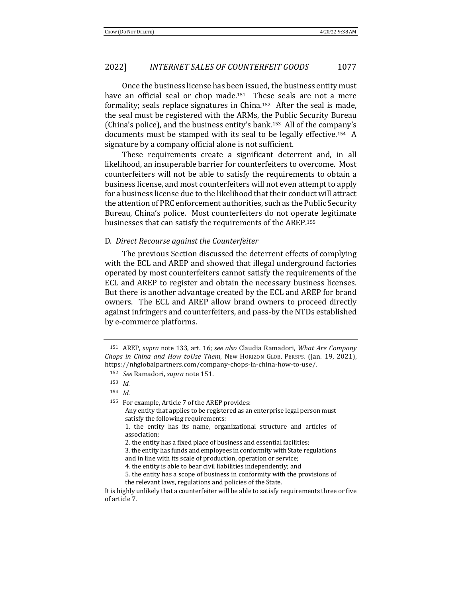Once the business license has been issued, the business entity must have an official seal or chop made.<sup>151</sup> These seals are not a mere formality; seals replace signatures in China.<sup>152</sup> After the seal is made, the seal must be registered with the ARMs, the Public Security Bureau (China's police), and the business entity's bank.<sup>153</sup> All of the company's documents must be stamped with its seal to be legally effective.<sup>154</sup> A signature by a company official alone is not sufficient.

These requirements create a significant deterrent and, in all likelihood, an insuperable barrier for counterfeiters to overcome. Most counterfeiters will not be able to satisfy the requirements to obtain a business license, and most counterfeiters will not even attempt to apply for a business license due to the likelihood that their conduct will attract the attention of PRC enforcement authorities, such as the Public Security Bureau, China's police. Most counterfeiters do not operate legitimate businesses that can satisfy the requirements of the AREP.<sup>155</sup>

### D. *Direct Recourse against the Counterfeiter*

The previous Section discussed the deterrent effects of complying with the ECL and AREP and showed that illegal underground factories operated by most counterfeiters cannot satisfy the requirements of the ECL and AREP to register and obtain the necessary business licenses. But there is another advantage created by the ECL and AREP for brand owners. The ECL and AREP allow brand owners to proceed directly against infringers and counterfeiters, and pass-by the NTDs established by e-commerce platforms.

3. the entity has funds and employees in conformity with State regulations

<sup>151</sup> AREP, *supra* note 133, art. 16; *see also* Claudia Ramadori, *What Are Company Chops* in *China and How toUse Them*, New Horizon GLOB. PERSPS. (Jan. 19, 2021), https://nhglobalpartners.com/company-chops-in-china-how-to-use/.

<sup>152</sup> *See* Ramadori, *supra* note 151.

<sup>153</sup> *Id.*

<sup>154</sup> *Id.*

<sup>155</sup> For example, Article 7 of the AREP provides:

Any entity that applies to be registered as an enterprise legal person must satisfy the following requirements:

<sup>1.</sup> the entity has its name, organizational structure and articles of association;

<sup>2.</sup> the entity has a fixed place of business and essential facilities;

and in line with its scale of production, operation or service;

<sup>4.</sup> the entity is able to bear civil liabilities independently; and

<sup>5.</sup> the entity has a scope of business in conformity with the provisions of the relevant laws, regulations and policies of the State.

It is highly unlikely that a counterfeiter will be able to satisfy requirements three or five of article 7.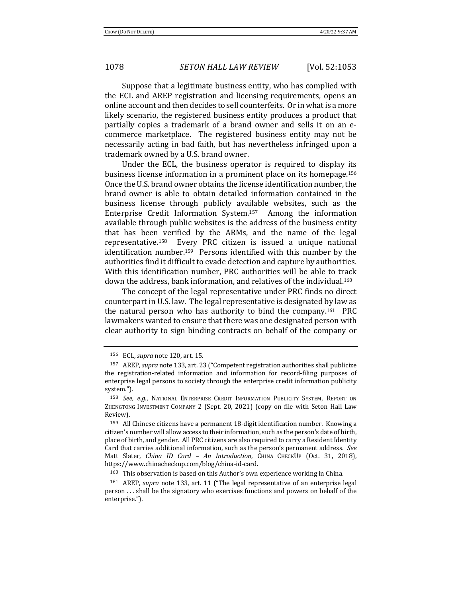Suppose that a legitimate business entity, who has complied with the ECL and AREP registration and licensing requirements, opens an online account and then decides to sell counterfeits. Or in what is a more likely scenario, the registered business entity produces a product that partially copies a trademark of a brand owner and sells it on an ecommerce marketplace. The registered business entity may not be necessarily acting in bad faith, but has nevertheless infringed upon a trademark owned by a U.S. brand owner.

Under the ECL, the business operator is required to display its business license information in a prominent place on its homepage.<sup>156</sup> Once the U.S. brand owner obtains the license identification number, the brand owner is able to obtain detailed information contained in the business license through publicly available websites, such as the Enterprise Credit Information System.<sup>157</sup> Among the information available through public websites is the address of the business entity that has been verified by the ARMs, and the name of the legal representative.<sup>158</sup> Every PRC citizen is issued a unique national identification number.<sup>159</sup> Persons identified with this number by the authorities find it difficult to evade detection and capture by authorities. With this identification number, PRC authorities will be able to track down the address, bank information, and relatives of the individual.<sup>160</sup>

The concept of the legal representative under PRC finds no direct counterpart in U.S. law. The legal representative is designated by law as the natural person who has authority to bind the company.<sup>161</sup> PRC lawmakers wanted to ensure that there was one designated person with clear authority to sign binding contracts on behalf of the company or

<sup>156</sup> ECL, *supra* note 120, art. 15.

<sup>&</sup>lt;sup>157</sup> AREP, *supra* note 133, art. 23 ("Competent registration authorities shall publicize the registration-related information and information for record-filing purposes of enterprise legal persons to society through the enterprise credit information publicity system.").

<sup>&</sup>lt;sup>158</sup> *See, e.g.*, NATIONAL ENTERPRISE CREDIT INFORMATION PUBLICITY SYSTEM, REPORT ON ZHENGTONG INVESTMENT COMPANY 2 (Sept. 20, 2021) (copy on file with Seton Hall Law Review).

 $159$  All Chinese citizens have a permanent 18-digit identification number. Knowing a citizen's number will allow access to their information, such as the person's date of birth, place of birth, and gender. All PRC citizens are also required to carry a Resident Identity Card that carries additional information, such as the person's permanent address. See Matt Slater, *China ID Card - An Introduction*, CHINA CHECKUP (Oct. 31, 2018), https://www.chinacheckup.com/blog/china-id-card.

 $160$  This observation is based on this Author's own experience working in China.

<sup>&</sup>lt;sup>161</sup> AREP, *supra* note 133, art. 11 ("The legal representative of an enterprise legal person ... shall be the signatory who exercises functions and powers on behalf of the enterprise.").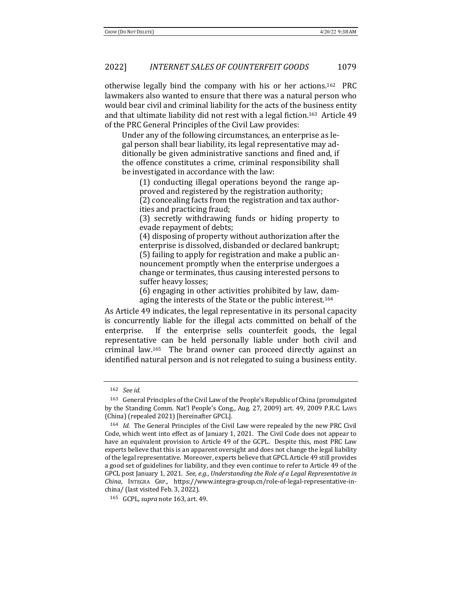otherwise legally bind the company with his or her actions.<sup>162</sup> PRC lawmakers also wanted to ensure that there was a natural person who would bear civil and criminal liability for the acts of the business entity and that ultimate liability did not rest with a legal fiction.<sup>163</sup> Article  $49$ of the PRC General Principles of the Civil Law provides:

Under any of the following circumstances, an enterprise as legal person shall bear liability, its legal representative may additionally be given administrative sanctions and fined and, if the offence constitutes a crime, criminal responsibility shall be investigated in accordance with the law:

 $(1)$  conducting illegal operations beyond the range approved and registered by the registration authority;

(2) concealing facts from the registration and tax authorities and practicing fraud;

(3) secretly withdrawing funds or hiding property to evade repayment of debts;

(4) disposing of property without authorization after the enterprise is dissolved, disbanded or declared bankrupt; (5) failing to apply for registration and make a public announcement promptly when the enterprise undergoes a change or terminates, thus causing interested persons to suffer heavy losses;

 $(6)$  engaging in other activities prohibited by law, dam-

aging the interests of the State or the public interest.<sup>164</sup>

As Article 49 indicates, the legal representative in its personal capacity is concurrently liable for the illegal acts committed on behalf of the enterprise. If the enterprise sells counterfeit goods, the legal representative can be held personally liable under both civil and criminal law.<sup>165</sup> The brand owner can proceed directly against an identified natural person and is not relegated to suing a business entity.

<sup>162</sup> *See id.*

<sup>&</sup>lt;sup>163</sup> General Principles of the Civil Law of the People's Republic of China (promulgated by the Standing Comm. Nat'l People's Cong., Aug. 27, 2009) art. 49, 2009 P.R.C. Laws (China) (repealed 2021) [hereinafter GPCL].

<sup>&</sup>lt;sup>164</sup> *Id.* The General Principles of the Civil Law were repealed by the new PRC Civil Code, which went into effect as of January 1, 2021. The Civil Code does not appear to have an equivalent provision to Article 49 of the GCPL. Despite this, most PRC Law experts believe that this is an apparent oversight and does not change the legal liability of the legal representative. Moreover, experts believe that GPCL Article 49 still provides a good set of guidelines for liability, and they even continue to refer to Article 49 of the GPCL post January 1, 2021. *See, e.g., Understanding the Role of a Legal Representative in China*, INTEGRA GRP., https://www.integra-group.cn/role-of-legal-representative-inchina/ (last visited Feb. 3, 2022).

<sup>165</sup> GCPL, *supra* note 163, art. 49.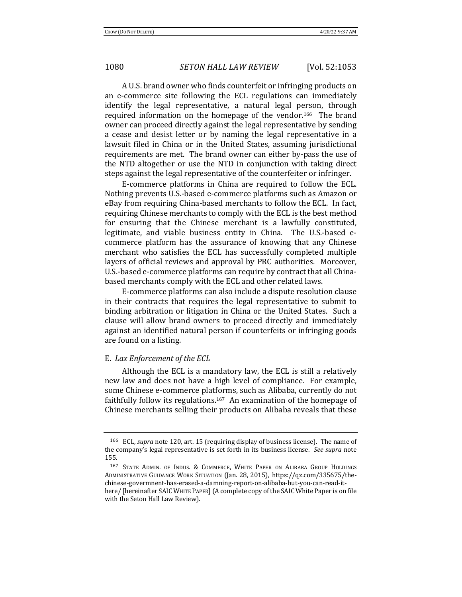A U.S. brand owner who finds counterfeit or infringing products on an e-commerce site following the ECL regulations can immediately identify the legal representative, a natural legal person, through required information on the homepage of the vendor.<sup>166</sup> The brand owner can proceed directly against the legal representative by sending a cease and desist letter or by naming the legal representative in a lawsuit filed in China or in the United States, assuming jurisdictional requirements are met. The brand owner can either by-pass the use of the NTD altogether or use the NTD in conjunction with taking direct steps against the legal representative of the counterfeiter or infringer.

E-commerce platforms in China are required to follow the ECL. Nothing prevents U.S.-based e-commerce platforms such as Amazon or eBay from requiring China-based merchants to follow the ECL. In fact, requiring Chinese merchants to comply with the ECL is the best method for ensuring that the Chinese merchant is a lawfully constituted, legitimate, and viable business entity in China. The U.S.-based ecommerce platform has the assurance of knowing that any Chinese merchant who satisfies the ECL has successfully completed multiple layers of official reviews and approval by PRC authorities. Moreover, U.S.-based e-commerce platforms can require by contract that all Chinabased merchants comply with the ECL and other related laws.

E-commerce platforms can also include a dispute resolution clause in their contracts that requires the legal representative to submit to binding arbitration or litigation in China or the United States. Such a clause will allow brand owners to proceed directly and immediately against an identified natural person if counterfeits or infringing goods are found on a listing.

## E. *Lax Enforcement of the ECL*

Although the ECL is a mandatory law, the ECL is still a relatively new law and does not have a high level of compliance. For example, some Chinese e-commerce platforms, such as Alibaba, currently do not faithfully follow its regulations.<sup>167</sup> An examination of the homepage of Chinese merchants selling their products on Alibaba reveals that these

<sup>&</sup>lt;sup>166</sup> ECL, *supra* note 120, art. 15 (requiring display of business license). The name of the company's legal representative is set forth in its business license. See supra note 155.

<sup>167</sup> STATE ADMIN. OF INDUS. & COMMERCE, WHITE PAPER ON ALIBABA GROUP HOLDINGS ADMINISTRATIVE GUIDANCE WORK SITUATION (Jan. 28, 2015), https://qz.com/335675/thechinese-govermnent-has-erased-a-damning-report-on-alibaba-but-you-can-read-ithere/ [hereinafter SAIC WHITE PAPER] (A complete copy of the SAIC White Paper is on file with the Seton Hall Law Review).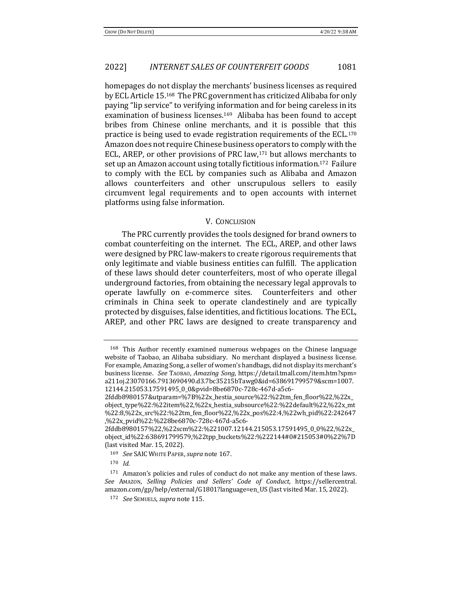homepages do not display the merchants' business licenses as required by ECL Article 15.<sup>168</sup> The PRC government has criticized Alibaba for only paying "lip service" to verifying information and for being careless in its examination of business licenses.<sup>169</sup> Alibaba has been found to accept bribes from Chinese online merchants, and it is possible that this practice is being used to evade registration requirements of the ECL.<sup>170</sup> Amazon does not require Chinese business operators to comply with the ECL, AREP, or other provisions of PRC law,<sup>171</sup> but allows merchants to set up an Amazon account using totally fictitious information.<sup>172</sup> Failure to comply with the ECL by companies such as Alibaba and Amazon allows counterfeiters and other unscrupulous sellers to easily circumvent legal requirements and to open accounts with internet platforms using false information.

#### **V. CONCLUSION**

The PRC currently provides the tools designed for brand owners to combat counterfeiting on the internet. The ECL, AREP, and other laws were designed by PRC law-makers to create rigorous requirements that only legitimate and viable business entities can fulfill. The application of these laws should deter counterfeiters, most of who operate illegal underground factories, from obtaining the necessary legal approvals to operate lawfully on e-commerce sites. Counterfeiters and other criminals in China seek to operate clandestinely and are typically protected by disguises, false identities, and fictitious locations. The ECL, AREP, and other PRC laws are designed to create transparency and

 $168$  This Author recently examined numerous webpages on the Chinese language website of Taobao, an Alibaba subsidiary. No merchant displayed a business license. For example, Amazing Song, a seller of women's handbags, did not display its merchant's business license. See TAOBAO, *Amazing Song*, https://detail.tmall.com/item.htm?spm= a211oj.23070166.7913690490.d3.7bc35215bTawg0&id=638691799579&scm=1007. 12144.215053.17591495\_0\_0&pvid=8be6870c-728c-467d-a5c6-

<sup>2</sup>fddb8980157&utparam=%7B%22x\_hestia\_source%22:%22tm\_fen\_floor%22,%22x\_ object\_type%22:%22item%22,%22x\_hestia\_subsource%22:%22default%22,%22x\_mt %22:8,%22x\_src%22:%22tm\_fen\_floor%22,%22x\_pos%22:4,%22wh\_pid%22:242647 ,%22x\_pvid%22:%228be6870c-728c-467d-a5c6-

<sup>2</sup>fddb8980157%22,%22scm%22:%221007.12144.215053.17591495\_0\_0%22,%22x\_ object\_id%22:638691799579,%22tpp\_buckets%22:%222144#0#215053#0%22%7D (last visited Mar.  $15, 2022$ ).

<sup>169</sup> *See* SAIC WHITE PAPER, *supra* note 167.

<sup>170</sup> *Id.*

 $171$  Amazon's policies and rules of conduct do not make any mention of these laws. *See* AMAZON, *Selling Policies and Sellers' Code of Conduct*, https://sellercentral. amazon.com/gp/help/external/G1801?language=en\_US (last visited Mar. 15, 2022).

<sup>172</sup> *See* SEMUELS, *supra* note 115.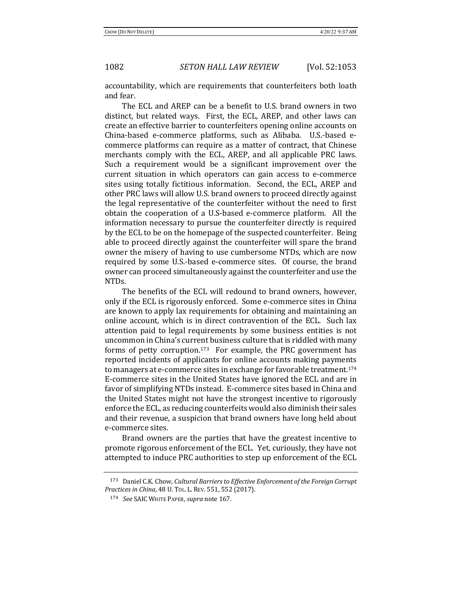accountability, which are requirements that counterfeiters both loath and fear.

The ECL and AREP can be a benefit to U.S. brand owners in two distinct, but related ways. First, the ECL, AREP, and other laws can create an effective barrier to counterfeiters opening online accounts on China-based e-commerce platforms, such as Alibaba. U.S.-based ecommerce platforms can require as a matter of contract, that Chinese merchants comply with the ECL, AREP, and all applicable PRC laws. Such a requirement would be a significant improvement over the current situation in which operators can gain access to e-commerce sites using totally fictitious information. Second, the ECL, AREP and other PRC laws will allow U.S. brand owners to proceed directly against the legal representative of the counterfeiter without the need to first obtain the cooperation of a U.S-based e-commerce platform. All the information necessary to pursue the counterfeiter directly is required by the ECL to be on the homepage of the suspected counterfeiter. Being able to proceed directly against the counterfeiter will spare the brand owner the misery of having to use cumbersome NTDs, which are now required by some U.S.-based e-commerce sites. Of course, the brand owner can proceed simultaneously against the counterfeiter and use the NTDs. 

The benefits of the ECL will redound to brand owners, however, only if the ECL is rigorously enforced. Some e-commerce sites in China are known to apply lax requirements for obtaining and maintaining an online account, which is in direct contravention of the ECL. Such lax attention paid to legal requirements by some business entities is not uncommon in China's current business culture that is riddled with many forms of petty corruption.<sup>173</sup> For example, the PRC government has reported incidents of applicants for online accounts making payments to managers at e-commerce sites in exchange for favorable treatment.<sup>174</sup> E-commerce sites in the United States have ignored the ECL and are in favor of simplifying NTDs instead. E-commerce sites based in China and the United States might not have the strongest incentive to rigorously enforce the ECL, as reducing counterfeits would also diminish their sales and their revenue, a suspicion that brand owners have long held about e-commerce sites.

Brand owners are the parties that have the greatest incentive to promote rigorous enforcement of the ECL. Yet, curiously, they have not attempted to induce PRC authorities to step up enforcement of the ECL

<sup>&</sup>lt;sup>173</sup> Daniel C.K. Chow, *Cultural Barriers to Effective Enforcement of the Foreign Corrupt Practices in China*, 48 U. Tol. L. REV. 551, 552 (2017).

<sup>174</sup> *See* SAIC WHITE PAPER, *supra* note 167.